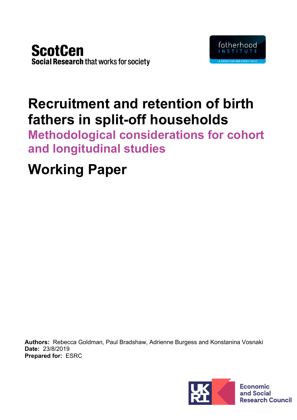



# **Recruitment and retention of birth fathers in split-off households**

**Methodological considerations for cohort and longitudinal studies**

# **Working Paper**

**Authors:** Rebecca Goldman, Paul Bradshaw, Adrienne Burgess and Konstanina Vosnaki **Date:** 23/8/2019 **Prepared for:** ESRC

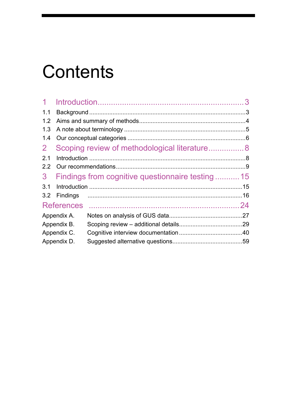# **Contents**

| $\mathbf{1}$   |                   |                                                 |  |
|----------------|-------------------|-------------------------------------------------|--|
| 1.1            |                   |                                                 |  |
| 1.2            |                   |                                                 |  |
| 1.3            |                   |                                                 |  |
| 1.4            |                   |                                                 |  |
| $\overline{2}$ |                   | Scoping review of methodological literature 8   |  |
| 2.1            |                   |                                                 |  |
| 2.2            |                   |                                                 |  |
|                |                   |                                                 |  |
| 3 <sup>°</sup> |                   | Findings from cognitive questionnaire testing15 |  |
| 3.1            |                   |                                                 |  |
| 3.2            | <b>Findings</b>   |                                                 |  |
|                | <b>References</b> |                                                 |  |
|                | Appendix A.       |                                                 |  |
|                | Appendix B.       |                                                 |  |
|                | Appendix C.       |                                                 |  |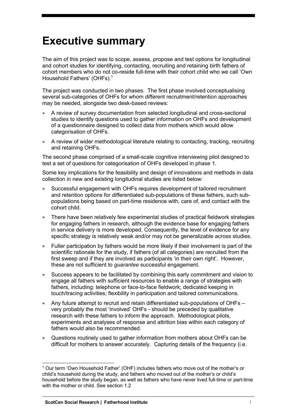## **Executive summary**

The aim of this project was to scope, assess, propose and test options for longitudinal and cohort studies for identifying, contacting, recruiting and retaining birth fathers of cohort members who do not co-reside full-time with their cohort child who we call 'Own Household Fathers' (OHFs).<sup>1</sup>

The project was conducted in two phases. The first phase involved conceptualising several sub-categories of OHFs for whom different recruitment/retention approaches may be needed, alongside two desk-based reviews:

- A review of survey documentation from selected longitudinal and cross-sectional studies to identify questions used to gather information on OHFs and development of a questionnaire designed to collect data from mothers which would allow categorisation of OHFs.
- A review of wider methodological literature relating to contacting, tracking, recruiting and retaining OHFs.

The second phase comprised of a small-scale cognitive interviewing pilot designed to test a set of questions for categorisation of OHFs developed in phase 1.

Some key implications for the feasibility and design of innovations and methods in data collection in new and existing longitudinal studies are listed below:

- Successful engagement with OHFs requires development of tailored recruitment and retention options for differentiated sub-populations of these fathers, such subpopulations being based on part-time residence with, care of, and contact with the cohort child.
- There have been relatively few experimental studies of practical fieldwork strategies for engaging fathers in research, although the evidence base for engaging fathers in service delivery is more developed. Consequently, the level of evidence for any specific strategy is relatively weak and/or may not be generalizable across studies.
- Fuller participation by fathers would be more likely if their involvement is part of the scientific rationale for the study, if fathers (of all categories) are recruited from the first sweep and if they are involved as participants 'in their own right'. However, these are not sufficient to *guarantee* successful engagement.
- Success appears to be facilitated by combining this early commitment and vision to engage all fathers with sufficient resources to enable a range of strategies with fathers, including: telephone or face-to-face fieldwork; dedicated keeping in touch/tracing activities; flexibility in participation and tailored communications.
- Any future attempt to recruit and retain differentiated sub-populations of OHFs very probably the most 'involved' OHFs - should be preceded by qualitative research with these fathers to inform the approach. Methodological pilots, experiments and analyses of response and attrition bias within each category of fathers would also be recommended.
- Questions routinely used to gather information from mothers about OHFs can be difficult for mothers to answer accurately. Capturing details of the frequency (i.e.

<sup>1</sup> Our term 'Own Household Father' (OHF) includes fathers who move out of the mother's or child's household during the study, and fathers who moved out of the mother's or child's household before the study began, as well as fathers who have never lived full-time or part-time with the mother or child. See section 1.2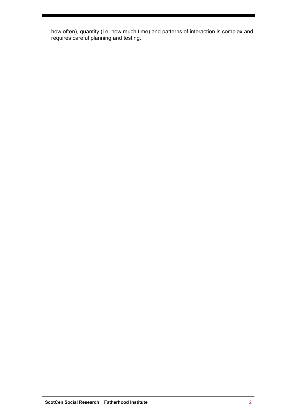how often), quantity (i.e. how much time) and patterns of interaction is complex and requires careful planning and testing.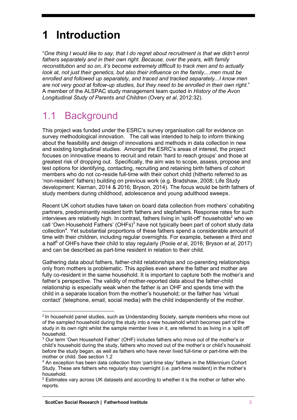## **1 Introduction**

"*One thing I would like to say, that I do regret about recruitment is that we didn't enrol fathers separately and in their own right. Because, over the years, with family reconstitution and so on, it's become extremely difficult to track men and to actually look at, not just their genetics, but also their influence on the family....men must be enrolled and followed up separately, and traced and tracked separately...I know men are not very good at follow-up studies, but they need to be enrolled in their own right*." A member of the ALSPAC study management team quoted in *History of the Avon Longitudinal Study of Parents and Children* (Overy *et al*, 2012:32).

## 1.1 Background

This project was funded under the ESRC's survey organisation call for evidence on survey methodological innovation. The call was intended to help to inform thinking about the feasibility and design of innovations and methods in data collection in new and existing longitudinal studies. Amongst the ESRC's areas of interest, the project focuses on innovative means to recruit and retain 'hard to reach groups' and those at greatest risk of dropping out. Specifically, the aim was to scope, assess, propose and test options for identifying, contacting, recruiting and retaining birth fathers of cohort members who do not co-reside full-time with their cohort child (hitherto referred to as 'non-resident' fathers) building on previous work (e.g. Bradshaw, 2008; Life Study development: Kiernan, 2014 & 2016; Bryson, 2014). The focus would be birth fathers of study members during childhood, adolescence and young adulthood sweeps.

Recent UK cohort studies have taken on board data collection from mothers' cohabiting partners, predominantly resident birth fathers and stepfathers. Response rates for such interviews are relatively high. In contrast, fathers living in 'split-off' households<sup>2</sup> who we call 'Own Household Fathers' (OHFs)<sup>3</sup> have not typically been part of cohort study data collection<sup>4</sup>. Yet substantial proportions of these fathers spend a considerable amount of time with their children, including regular overnights. For example, between a third and a half<sup>5</sup> of OHFs have their child to stay regularly (Poole *et* al, 2016; Bryson *et al,* 2017) and can be described as part-time resident in relation to their child.

Gathering data about fathers, father-child relationships and co-parenting relationships only from mothers is problematic. This applies even where the father and mother are fully co-resident in the same household. It is important to capture both the mother's and father's perspective. The validity of mother-reported data about the father-child relationship is especially weak when the father is an OHF and spends time with the child in a separate location from the mother's household; or the father has 'virtual contact' (telephone, email, social media) with the child independently of the mother.

<sup>&</sup>lt;sup>2</sup> In household panel studies, such as Understanding Society, sample members who move out of the sampled household during the study into a new household which becomes part of the study in its own right whilst the sample member lives in it, are referred to as living in a 'split off' household.

<sup>&</sup>lt;sup>3</sup> Our term 'Own Household Father' (OHF) includes fathers who move out of the mother's or child's household during the study, fathers who moved out of the mother's or child's household before the study began, as well as fathers who have never lived full-time or part-time with the mother or child. See section 1.2

<sup>4</sup> An exception has been data collection from 'part-time stay' fathers in the Millennium Cohort Study. These are fathers who regularly stay overnight (i.e. part-time resident) in the mother's household.

<sup>&</sup>lt;sup>5</sup> Estimates vary across UK datasets and according to whether it is the mother or father who reports.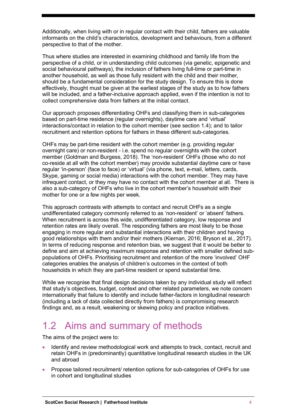Additionally, when living with or in regular contact with their child, fathers are valuable informants on the child's characteristics, development and behaviours, from a different perspective to that of the mother.

Thus where studies are interested in examining childhood and family life from the perspective of a child, or in understanding child outcomes (via genetic, epigenetic and social behavioural pathways), the inclusion of fathers living full-time or part-time in another household, as well as those fully resident with the child and their mother, should be a fundamental consideration for the study design. To ensure this is done effectively, thought must be given at the earliest stages of the study as to how fathers will be included, and a father-inclusive approach applied, even if the intention is not to collect comprehensive data from fathers at the initial contact.

Our approach proposes differentiating OHFs and classifying them in sub-categories based on part-time residence (regular overnights), daytime care and 'virtual' interactions/contact in relation to the cohort member (see section 1.4); and to tailor recruitment and retention options for fathers in these different sub-categories.

OHFs may be part-time resident with the cohort member (e.g. providing regular overnight care) or non-resident - i.e. spend no regular overnights with the cohort member (Goldman and Burgess, 2018). The 'non-resident' OHFs (those who do not co-reside at all with the cohort member) may provide substantial daytime care or have regular 'in-person' (face to face) or 'virtual' (via phone, text, e-mail, letters, cards, Skype, gaming or social media) interactions with the cohort member. They may have infrequent contact, or they may have no contact with the cohort member at all. There is also a sub-category of OHFs who live in the cohort member's household with their mother for one or a few nights per week.

This approach contrasts with attempts to contact and recruit OHFs as a single undifferentiated category commonly referred to as 'non-resident' or 'absent' fathers. When recruitment is across this wide, undifferentiated category, low response and retention rates are likely overall. The responding fathers are most likely to be those engaging in more regular and substantial interactions with their children and having good relationships with them and/or their mothers (Kiernan, 2016; Bryson et al., 2017). In terms of reducing response and retention bias, we suggest that it would be better to define and aim at achieving maximum response and retention with smaller defined subpopulations of OHFs. Prioritising recruitment and retention of the more 'involved' OHF categories enables the analysis of children's outcomes in the context of both households in which they are part-time resident or spend substantial time.

While we recognise that final design decisions taken by any individual study will reflect that study's objectives, budget, context and other related parameters, we note concern internationally that failure to identify and include father-factors in longitudinal research (including a lack of data collected directly from fathers) is compromising research findings and, as a result, weakening or skewing policy and practice initiatives.

## 1.2 Aims and summary of methods

The aims of the project were to:

- Identify and review methodological work and attempts to track, contact, recruit and retain OHFs in (predominantly) quantitative longitudinal research studies in the UK and abroad
- Propose tailored recruitment/ retention options for sub-categories of OHFs for use in cohort and longitudinal studies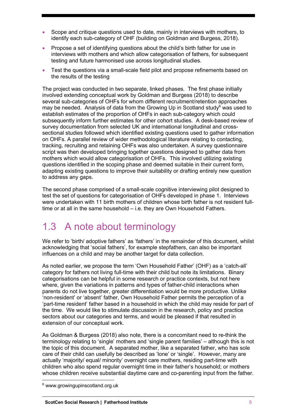- Scope and critique questions used to date, mainly in interviews with mothers, to identify each sub-category of OHF (building on Goldman and Burgess, 2018).
- Propose a set of identifying questions about the child's birth father for use in interviews with mothers and which allow categorisation of fathers, for subsequent testing and future harmonised use across longitudinal studies.
- Test the questions via a small-scale field pilot and propose refinements based on the results of the testing

The project was conducted in two separate, linked phases. The first phase initially involved extending conceptual work by Goldman and Burgess (2018) to describe several sub-categories of OHFs for whom different recruitment/retention approaches may be needed. Analysis of data from the Growing Up in Scotland study $6$  was used to establish estimates of the proportion of OHFs in each sub-category which could subsequently inform further estimates for other cohort studies. A desk-based review of survey documentation from selected UK and international longitudinal and crosssectional studies followed which identified existing questions used to gather information on OHFs. A parallel review of wider methodological literature relating to contacting, tracking, recruiting and retaining OHFs was also undertaken. A survey questionnaire script was then developed bringing together questions designed to gather data from mothers which would allow categorisation of OHFs. This involved utilizing existing questions identified in the scoping phase and deemed suitable in their current form, adapting existing questions to improve their suitability or drafting entirely new question to address any gaps.

The second phase comprised of a small-scale cognitive interviewing pilot designed to test the set of questions for categorisation of OHFs developed in phase 1. Interviews were undertaken with 11 birth mothers of children whose birth father is not resident fulltime or at all in the same household – i.e. they are Own Household Fathers.

## 1.3 A note about terminology

We refer to 'birth/ adoptive fathers' as 'fathers' in the remainder of this document, whilst acknowledging that 'social fathers', for example stepfathers, can also be important influences on a child and may be another target for data collection.

As noted earlier, we propose the term 'Own Household Father' (OHF) as a 'catch-all' category for fathers not living full-time with their child but note its limitations. Binary categorisations can be helpful in some research or practice contexts, but not here where, given the variations in patterns and types of father-child interactions when parents do not live together, greater differentiation would be more productive. Unlike 'non-resident' or 'absent' father, Own Household Father permits the perception of a 'part-time resident' father based in a household in which the child may reside for part of the time. We would like to stimulate discussion in the research, policy and practice sectors about our categories and terms, and would be pleased if that resulted in extension of our conceptual work.

As Goldman & Burgess (2018) also note, there is a concomitant need to re-think the terminology relating to 'single' mothers and 'single parent families' – although this is not the topic of this document. A separated mother, like a separated father, who has sole care of their child can usefully be described as 'lone' or 'single'. However, many are actually 'majority/ equal/ minority' overnight care mothers, residing part-time with children who also spend regular overnight time in their father's household; or mothers whose children receive substantial daytime care and co-parenting input from the father.

<sup>6</sup> www.growingupinscotland.org.uk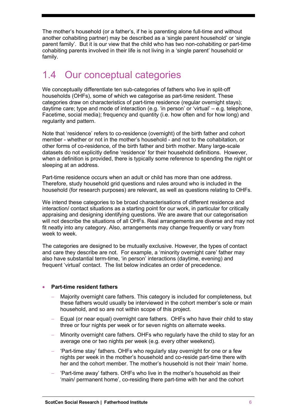The mother's household (or a father's, if he is parenting alone full-time and without another cohabiting partner) may be described as a 'single parent household' or 'single parent family'. But it is our view that the child who has two non-cohabiting or part-time cohabiting parents involved in their life is not living in a 'single parent' household or family.

## 1.4 Our conceptual categories

We conceptually differentiate ten sub-categories of fathers who live in split-off households (OHFs), some of which we categorise as part-time resident. These categories draw on characteristics of part-time residence (regular overnight stays); daytime care; type and mode of interaction (e.g. 'in person' or 'virtual' – e.g. telephone, Facetime, social media); frequency and quantity (i.e. how often and for how long) and regularity and pattern.

Note that 'residence' refers to co-residence (overnight) of the birth father and cohort member - whether or not in the mother's household - and not to the cohabitation, or other forms of co-residence, of the birth father and birth mother. Many large-scale datasets do not explicitly define 'residence' for their household definitions. However, when a definition is provided, there is typically some reference to spending the night or sleeping at an address.

Part-time residence occurs when an adult or child has more than one address. Therefore, study household grid questions and rules around who is included in the household (for research purposes) are relevant, as well as questions relating to OHFs.

We intend these categories to be broad characterisations of different residence and interaction/ contact situations as a starting point for our work, in particular for critically appraising and designing identifying questions. We are aware that our categorisation will not describe the situations of all OHFs. Real arrangements are diverse and may not fit neatly into any category. Also, arrangements may change frequently or vary from week to week.

The categories are designed to be mutually exclusive. However, the types of contact and care they describe are not. For example, a 'minority overnight care' father may also have substantial term-time, 'in person' interactions (daytime, evening) and frequent 'virtual' contact. The list below indicates an order of precedence.

### • **Part-time resident fathers**

- Majority overnight care fathers. This category is included for completeness, but these fathers would usually be interviewed in the cohort member's sole or main household, and so are not within scope of this project.
- Equal (or near equal) overnight care fathers. OHFs who have their child to stay three or four nights per week or for seven nights on alternate weeks.
- Minority overnight care fathers. OHFs who regularly have the child to stay for an average one or two nights per week (e.g. every other weekend).
- 'Part-time stay' fathers. OHFs who regularly stay overnight for one or a few nights per week in the mother's household and co-reside part-time there with her and the cohort member. The mother's household is not their 'main' home.
- 'Part-time away' fathers. OHFs who live in the mother's household as their 'main/ permanent home', co-residing there part-time with her and the cohort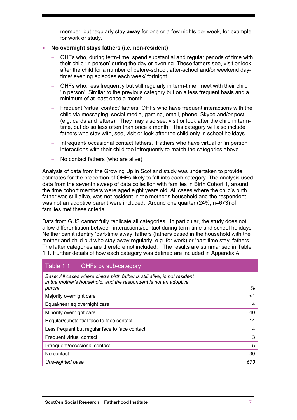member, but regularly stay **away** for one or a few nights per week, for example for work or study.

#### • **No overnight stays fathers (i.e. non-resident)**

- OHFs who, during term-time, spend substantial and regular periods of time with their child 'in person' during the day or evening. These fathers see, visit or look after the child for a number of before-school, after-school and/or weekend daytime/ evening episodes each week/ fortnight.
- OHFs who, less frequently but still regularly in term-time, meet with their child 'in person'. Similar to the previous category but on a less frequent basis and a minimum of at least once a month.
- Frequent 'virtual contact' fathers. OHFs who have frequent interactions with the child via messaging, social media, gaming, email, phone, Skype and/or post (e.g. cards and letters). They may also see, visit or look after the child in termtime, but do so less often than once a month. This category will also include fathers who stay with, see, visit or look after the child only in school holidays.
- Infrequent/ occasional contact fathers. Fathers who have virtual or 'in person' interactions with their child too infrequently to match the categories above.
- No contact fathers (who are alive).

Analysis of data from the Growing Up in Scotland study was undertaken to provide estimates for the proportion of OHFs likely to fall into each category. The analysis used data from the seventh sweep of data collection with families in Birth Cohort 1, around the time cohort members were aged eight years old. All cases where the child's birth father was still alive, was not resident in the mother's household and the respondent was not an adoptive parent were included. Around one quarter (24%, n=673) of families met these criteria.

Data from GUS cannot fully replicate all categories. In particular, the study does not allow differentiation between interactions/contact during term-time and school holidays. Neither can it identify 'part-time away' fathers (fathers based in the household with the mother and child but who stay away regularly, e.g. for work) or 'part-time stay' fathers. The latter categories are therefore not included. The results are summarised in Table 1:1. Further details of how each category was defined are included in Appendix A.

### Table 1:1 OHFs by sub-category

| Base: All cases where child's birth father is still alive, is not resident<br>in the mother's household, and the respondent is not an adoptive |     |
|------------------------------------------------------------------------------------------------------------------------------------------------|-----|
| parent                                                                                                                                         | %   |
| Majority overnight care                                                                                                                        | <1  |
| Equal/near eq overnight care                                                                                                                   | 4   |
| Minority overnight care                                                                                                                        | 40  |
| Regular/substantial face to face contact                                                                                                       | 14  |
| Less frequent but regular face to face contact                                                                                                 | 4   |
| Frequent virtual contact                                                                                                                       | 3   |
| Infrequent/occasional contact                                                                                                                  | 5   |
| No contact                                                                                                                                     | 30  |
| Unweighted base                                                                                                                                | 673 |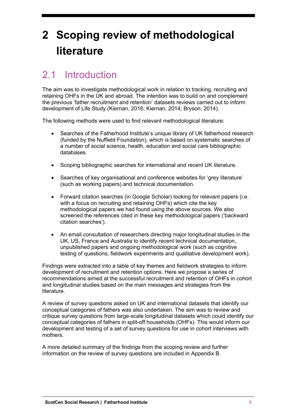## **2 Scoping review of methodological literature**

## 2.1 Introduction

The aim was to investigate methodological work in relation to tracking, recruiting and retaining OHFs in the UK and abroad. The intention was to build on and complement the previous 'father recruitment and retention' datasets reviews carried out to inform development of Life Study (Kiernan, 2016; Kiernan, 2014; Bryson, 2014).

The following methods were used to find relevant methodological literature:

- Searches of the Fatherhood Institute's unique library of UK fatherhood research (funded by the Nuffield Foundation), which is based on systematic searches of a number of social science, health, education and social care bibliographic databases.
- Scoping bibliographic searches for international and recent UK literature.
- Searches of key organisational and conference websites for 'grey literature' (such as working papers) and technical documentation.
- Forward citation searches (in Google Scholar) looking for relevant papers (i.e. with a focus on recruiting and retaining OHFs) which cite the key methodological papers we had found using the above sources. We also screened the references cited in these key methodological papers ('backward citation searches').
- An email consultation of researchers directing major longitudinal studies in the UK, US, France and Australia to identify recent technical documentation, unpublished papers and ongoing methodological work (such as cognitive testing of questions, fieldwork experiments and qualitative development work).

Findings were extracted into a table of key themes and fieldwork strategies to inform development of recruitment and retention options. Here we propose a series of recommendations aimed at the successful recruitment and retention of OHFs in cohort and longitudinal studies based on the main messages and strategies from the literature.

A review of survey questions asked on UK and international datasets that identify our conceptual categories of fathers was also undertaken. The aim was to review and critique survey questions from large-scale longitudinal datasets which could identify our conceptual categories of fathers in split-off households (OHFs). This would inform our development and testing of a set of survey questions for use in cohort interviews with mothers.

A more detailed summary of the findings from the scoping review and further information on the review of survey questions are included in Appendix B.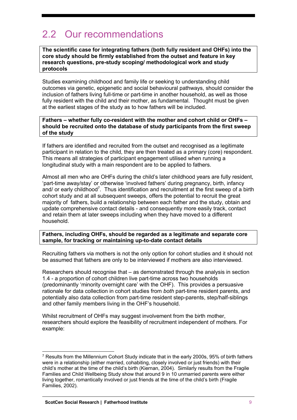## 2.2 Our recommendations

**The scientific case for integrating fathers (both fully resident and OHFs) into the core study should be firmly established from the outset and feature in key research questions, pre-study scoping/ methodological work and study protocols** 

Studies examining childhood and family life or seeking to understanding child outcomes via genetic, epigenetic and social behavioural pathways, should consider the inclusion of fathers living full-time or part-time in another household, as well as those fully resident with the child and their mother, as fundamental. Thought must be given at the earliest stages of the study as to how fathers will be included.

#### **Fathers – whether fully co-resident with the mother and cohort child or OHFs – should be recruited onto the database of study participants from the first sweep of the study**

If fathers are identified and recruited from the outset and recognised as a legitimate participant in relation to the child, they are then treated as a primary (core) respondent. This means all strategies of participant engagement utilised when running a longitudinal study with a main respondent are to be applied to fathers.

Almost all men who are OHFs during the child's later childhood years are fully resident, 'part-time away/stay' or otherwise 'involved fathers' during pregnancy, birth, infancy and/ or early childhood<sup>7</sup>. Thus identification and recruitment at the first sweep of a birth cohort study and at all subsequent sweeps, offers the potential to recruit the great majority of fathers, build a relationship between each father and the study, obtain and update comprehensive contact details - and consequently more easily track, contact and retain them at later sweeps including when they have moved to a different household.

#### **Fathers, including OHFs, should be regarded as a legitimate and separate core sample, for tracking or maintaining up-to-date contact details**

Recruiting fathers via mothers is not the only option for cohort studies and it should not be assumed that fathers are only to be interviewed if mothers are also interviewed.

Researchers should recognise that – as demonstrated through the analysis in section 1.4 - a proportion of cohort children live part-time across two households (predominantly 'minority overnight care' with the OHF). This provides a persuasive rationale for data collection in cohort studies from *both* part-time resident parents, and potentially also data collection from part-time resident step-parents, step/half-siblings and other family members living in the OHF's household.

Whilst recruitment of OHFs may suggest involvement from the birth mother, researchers should explore the feasibility of recruitment independent of mothers. For example:

 $7$  Results from the Millennium Cohort Study indicate that in the early 2000s, 95% of birth fathers were in a relationship (either married, cohabiting, closely involved or just friends) with their child's mother at the time of the child's birth (Kiernan, 2004). Similarly results from the Fragile Families and Child Wellbeing Study show that around 9 in 10 unmarried parents were either living together, romantically involved or just friends at the time of the child's birth (Fragile Families, 2002).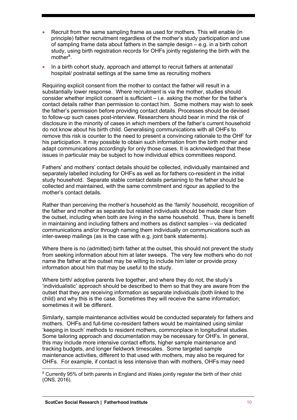- Recruit from the same sampling frame as used for mothers. This will enable (in principle) father recruitment regardless of the mother's study participation and use of sampling frame data about fathers in the sample design – e.g. in a birth cohort study, using birth registration records for OHFs jointly registering the birth with the mother<sup>8</sup>.
- In a birth cohort study, approach and attempt to recruit fathers at antenatal/ hospital/ postnatal settings at the same time as recruiting mothers

Requiring explicit consent from the mother to contact the father will result in a substantially lower response. Where recruitment is via the mother, studies should consider whether implicit consent is sufficient – i.e. asking the mother for the father's contact details rather than permission to contact him. Some mothers may wish to seek the father's permission before providing contact details. Processes should be devised to follow-up such cases post-interview. Researchers should bear in mind the risk of disclosure in the minority of cases in which members of the father's current household do not know about his birth child. Generalising communications with all OHFs to remove this risk is counter to the need to present a convincing rationale to the OHF for his participation. It may possible to obtain such information from the birth mother and adapt communications accordingly for only those cases. It is acknowledged that these issues in particular may be subject to how individual ethics committees respond.

Fathers' and mothers' contact details should be collected, individually maintained and separately labelled including for OHFs as well as for fathers co-resident in the initial study household. Separate stable contact details pertaining to the father should be collected and maintained, with the same commitment and rigour as applied to the mother's contact details.

Rather than perceiving the mother's household as the 'family' household, recognition of the father and mother as separate but related individuals should be made clear from the outset, including when both are living in the same household. Thus, there is benefit in maintaining and including fathers and mothers as distinct samples – via dedicated communications and/or through naming them individually on communications such as inter-sweep mailings (as is the case with e.g. joint bank statements).

Where there is no (admitted) birth father at the outset, this should not prevent the study from seeking information about him at later sweeps. The very few mothers who do not name the father at the outset may be willing to include him later or provide proxy information about him that may be useful to the study.

Where birth/ adoptive parents live together, and where they do not, the study's 'individualistic' approach should be described to them so that they are aware from the outset that they are receiving information as separate individuals (both linked to the child) and why this is the case. Sometimes they will receive the same information; sometimes it will be different.

Similarly, sample maintenance activities would be conducted separately for fathers and mothers. OHFs and full-time co-resident fathers would be maintained using similar 'keeping in touch' methods to resident mothers, commonplace in longitudinal studies. Some tailoring approach and documentation may be necessary for OHFs. In general, this may include more intensive contact efforts, higher sample maintenance and tracking budgets, and longer fieldwork timescales. Some targeted sample maintenance activities, different to that used with mothers, may also be required for OHFs. For example, if contact is less intensive than with mothers, OHFs may need

<sup>&</sup>lt;sup>8</sup> Currently 95% of birth parents in England and Wales jointly register the birth of their child (ONS, 2016).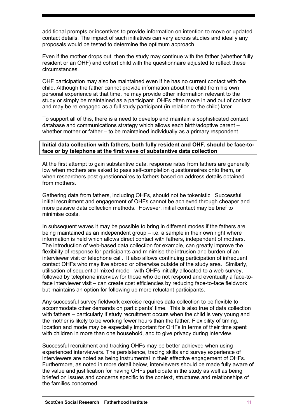additional prompts or incentives to provide information on intention to move or updated contact details. The impact of such initiatives can vary across studies and ideally any proposals would be tested to determine the optimum approach.

Even if the mother drops out, then the study may continue with the father (whether fully resident or an OHF) and cohort child with the questionnaire adjusted to reflect these circumstances.

OHF participation may also be maintained even if he has no current contact with the child. Although the father cannot provide information about the child from his own personal experience at that time, he may provide other information relevant to the study or simply be maintained as a participant. OHFs often move in and out of contact and may be re-engaged as a full study participant (in relation to the child) later.

To support all of this, there is a need to develop and maintain a sophisticated contact database and communications strategy which allows each birth/adoptive parent – whether mother or father – to be maintained individually as a primary respondent.

#### **Initial data collection with fathers, both fully resident and OHF, should be face-toface or by telephone at the first wave of substantive data collection**

At the first attempt to gain substantive data, response rates from fathers are generally low when mothers are asked to pass self-completion questionnaires onto them, or when researchers post questionnaires to fathers based on address details obtained from mothers.

Gathering data from fathers, including OHFs, should not be tokenistic. Successful initial recruitment and engagement of OHFs cannot be achieved through cheaper and more passive data collection methods. However, initial contact may be brief to minimise costs.

In subsequent waves it may be possible to bring in different modes if the fathers are being maintained as an independent group – i.e. a sample in their own right where information is held which allows direct contact with fathers, independent of mothers. The introduction of web-based data collection for example, can greatly improve the flexibility of response for participants and minimise the intrusion and burden of an interviewer visit or telephone call. It also allows continuing participation of infrequent contact OHFs who may live abroad or otherwise outside of the study area. Similarly, utilisation of sequential mixed-mode - with OHFs initially allocated to a web survey, followed by telephone interview for those who do not respond and eventually a face-toface interviewer visit – can create cost efficiencies by reducing face-to-face fieldwork but maintains an option for following up more reluctant participants.

Any successful survey fieldwork exercise requires data collection to be flexible to accommodate other demands on participants' time. This is also true of data collection with fathers – particularly if study recruitment occurs when the child is very young and the mother is likely to be working fewer hours than the father. Flexibility of timing, location and mode may be especially important for OHFs in terms of their time spent with children in more than one household, and to give privacy during interview.

Successful recruitment and tracking OHFs may be better achieved when using experienced interviewers. The persistence, tracing skills and survey experience of interviewers are noted as being instrumental in their effective engagement of OHFs. Furthermore, as noted in more detail below, interviewers should be made fully aware of the value and justification for having OHFs participate in the study as well as being briefed on issues and concerns specific to the context, structures and relationships of the families concerned.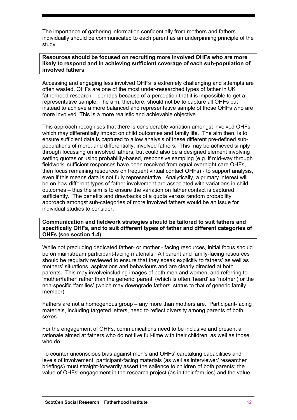The importance of gathering information confidentially from mothers and fathers individually should be communicated to each parent as an underpinning principle of the study.

#### **Resources should be focused on recruiting more involved OHFs who are more likely to respond and in achieving sufficient coverage of each sub-population of involved fathers**

Accessing and engaging less involved OHFs is extremely challenging and attempts are often wasted. OHFs are one of the most under-researched types of father in UK fatherhood research – perhaps because of a perception that it is impossible to get a representative sample. The aim, therefore, should not be to capture all OHFs but instead to achieve a more balanced and representative sample of those OHFs who are more involved. This is a more realistic and achievable objective.

This approach recognises that there is considerable variation amongst involved OHFs which may differentially impact on child outcomes and family life. The aim then, is to ensure sufficient data is captured to allow analysis of these different pre-defined subpopulations of more, and differentially, involved fathers. This may be achieved simply through focussing on involved fathers, but could also be a designed element involving setting quotas or using probability-based, responsive sampling (e.g. if mid-way through fieldwork, sufficient responses have been received from equal overnight care OHFs, then focus remaining resources on frequent virtual contact OHFs) - to support analysis, even if this means data is not fully representative. Analytically, a primary interest will be on how different types of father involvement are associated with variations in child outcomes – thus the aim is to ensure the variation on father contact is captured sufficiently. The benefits and drawbacks of a quota versus random probability approach amongst sub-categories of more involved fathers would be an issue for individual studies to consider.

**Communication and fieldwork strategies should be tailored to suit fathers and specifically OHFs, and to suit different types of father and different categories of OHFs (see section 1.4)**

While not precluding dedicated father- or mother - facing resources, initial focus should be on mainstream participant-facing materials. All parent and family-facing resources should be regularly reviewed to ensure that they speak explicitly to fathers' as well as mothers' situations, aspirations and behaviours and are clearly directed at both parents. This may involveincluding images of both men and women, and referring to 'mother/father' rather than the generic 'parent' (which is often 'heard' as 'mother') or the non-specific 'families' (which may downgrade fathers' status to that of generic family member).

Fathers are not a homogenous group – any more than mothers are. Participant-facing materials, including targeted letters, need to reflect diversity among parents of both sexes.

For the engagement of OHFs, communications need to be inclusive and present a rationale aimed at fathers who do not live full-time with their children, as well as those who do.

To counter unconscious bias against men's and OHFs' caretaking capabilities and levels of involvement, participant-facing materials (as well as interviewer/ researcher briefings) must straight-forwardly assert the salience to children of both parents; the value of OHFs' engagement in the research project (as in their families) and the value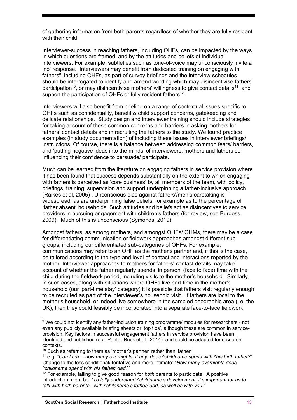of gathering information from both parents regardless of whether they are fully resident with their child.

Interviewer-success in reaching fathers, including OHFs, can be impacted by the ways in which questions are framed, and by the attitudes and beliefs of individual interviewers. For example, subtleties such as tone-of-voice may unconsciously invite a 'no' response. Interviewers may benefit from dedicated training on engaging with fathers<sup>9</sup>, including OHFs, as part of survey briefings and the interview-schedules should be interrogated to identify and amend wording which may disincentivise fathers' participation<sup>10</sup>, or may disincentivise mothers' willingness to give contact details<sup>11</sup> and support the participation of OHFs or fully resident fathers<sup>12</sup>.

Interviewers will also benefit from briefing on a range of contextual issues specific to OHFs such as confidentiality, benefit & child support concerns, gatekeeping and delicate relationships. Study design and interviewer training should include strategies for taking account of these common concerns and barriers in asking mothers for fathers' contact details and in recruiting the fathers to the study. We found practice examples (in study documentation) of including these issues in interviewer briefings/ instructions. Of course, there is a balance between addressing common fears/ barriers, and 'putting negative ideas into the minds' of interviewers, mothers and fathers so influencing their confidence to persuade/ participate.

Much can be learned from the literature on engaging fathers in service provision where it has been found that success depends substantially on the extent to which engaging with fathers is perceived as 'core business' by all members of the team, with policy, briefings, training, supervision and support underpinning a father-inclusive approach (Raikes et al, 2005) . Unconscious bias against fathers'/men's caretaking is widespread, as are underpinning false beliefs, for example as to the percentage of 'father absent' households. Such attitudes and beliefs act as disincentives to service providers in pursuing engagement with children's fathers (for review, see Burgess, 2009). Much of this is unconscious (Symonds, 2019).

Amongst fathers, as among mothers, and amongst OHFs/ OHMs, there may be a case for differentiating communication or fieldwork approaches amongst different subgroups, including our differentiated sub-categories of OHFs. For example, communications may refer to an OHF as the mother's partner and, if this is the case, be tailored according to the type and level of contact and interactions reported by the mother. Interviewer approaches to mothers for fathers' contact details may take account of whether the father regularly spends 'in person' (face to face) time with the child during the fieldwork period, including visits to the mother's household. Similarly, in such cases, along with situations where OHFs live part-time in the mother's household (our 'part-time stay' category) it is possible that fathers visit regularly enough to be recruited as part of the interviewer's household visit. If fathers are local to the mother's household, or indeed live somewhere in the sampled geographic area (i.e. the UK), then they could feasibly be incorporated into a separate face-to-face fieldwork

<sup>&</sup>lt;sup>9</sup> We could not identify any father-inclusion training programme/ modules for researchers - not even any publicly available briefing sheets or 'top tips', although these are common in serviceprovision. Key factors in successful engagement fathers in service provision have been identified and published (e.g. Panter-Brick et al., 2014) and could be adapted for research contexts.

 $10$  Such as referring to them as 'mother's partner' rather than 'father'

<sup>11</sup> e.g. *"Can I* ask *– how many overnights, if any, does ^childname spend with ^his birth father?'.* Change to the less conditional/ tentative and more intimate: "*How many overnights does ^childname spend with his father/ dad?'*

<sup>&</sup>lt;sup>12</sup> For example, failing to give good reason for *both* parents to participate. A positive introduction might be: "*To fully understand ^childname's development, it's important for us to talk with both parents –with ^childname's father/ dad, as well as with you."*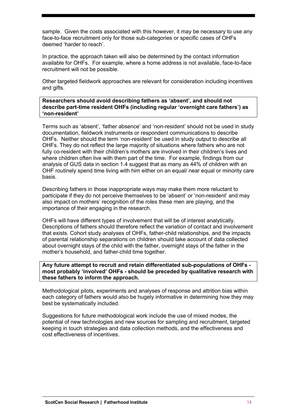sample. Given the costs associated with this however, it may be necessary to use any face-to-face recruitment only for those sub-categories or specific cases of OHFs deemed 'harder to reach'.

In practice, the approach taken will also be determined by the contact information available for OHFs. For example, where a home address is not available, face-to-face recruitment will not be possible.

Other targeted fieldwork approaches are relevant for consideration including incentives and gifts.

**Researchers should avoid describing fathers as 'absent', and should not describe part-time resident OHFs (including regular 'overnight care fathers') as 'non-resident'** 

Terms such as 'absent', 'father absence' and 'non-resident' should not be used in study documentation, fieldwork instruments or respondent communications to describe OHFs. Neither should the term 'non-resident' be used in study output to describe all OHFs. They do not reflect the large majority of situations where fathers who are not fully co-resident with their children's mothers are involved in their children's lives and where children often live with them part of the time. For example, findings from our analysis of GUS data in section 1.4 suggest that as many as 44% of children with an OHF routinely spend time living with him either on an equal/ near equal or minority care basis.

Describing fathers in those inappropriate ways may make them more reluctant to participate if they do not perceive themselves to be 'absent' or 'non-resident' and may also impact on mothers' recognition of the roles these men are playing, and the importance of their engaging in the research.

OHFs will have different types of involvement that will be of interest analytically. Descriptions of fathers should therefore reflect the variation of contact and involvement that exists. Cohort study analyses of OHFs, father-child relationships, and the impacts of parental relationship separations on children should take account of data collected about overnight stays of the child with the father, overnight stays of the father in the mother's household, and father-child time together.

#### **Any future attempt to recruit and retain differentiated sub-populations of OHFs most probably 'involved' OHFs - should be preceded by qualitative research with these fathers to inform the approach.**

Methodological pilots, experiments and analyses of response and attrition bias within each category of fathers would also be hugely informative in determining how they may best be systematically included.

Suggestions for future methodological work include the use of mixed modes, the potential of new technologies and new sources for sampling and recruitment, targeted keeping in touch strategies and data collection methods, and the effectiveness and cost effectiveness of incentives.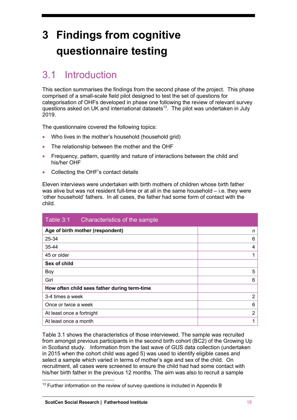## **3 Findings from cognitive questionnaire testing**

## 3.1 Introduction

This section summarises the findings from the second phase of the project. This phase comprised of a small-scale field pilot designed to test the set of questions for categorisation of OHFs developed in phase one following the review of relevant survey questions asked on UK and international datasets<sup>13</sup>. The pilot was undertaken in July 2019.

The questionnaire covered the following topics:

- Who lives in the mother's household (household grid)
- The relationship between the mother and the OHF
- Frequency, pattern, quantity and nature of interactions between the child and his/her OHF
- Collecting the OHF's contact details

Eleven interviews were undertaken with birth mothers of children whose birth father was alive but was not resident full-time or at all in the same household – i.e. they were 'other household' fathers. In all cases, the father had some form of contact with the child.

| Table 3:1<br>Characteristics of the sample   |   |
|----------------------------------------------|---|
| Age of birth mother (respondent)             | n |
| 25-34                                        | 6 |
| 35-44                                        | 4 |
| 45 or older                                  |   |
| Sex of child                                 |   |
| Boy                                          | 5 |
| Girl                                         | 6 |
| How often child sees father during term-time |   |
| 3-4 times a week                             | 2 |
| Once or twice a week                         | 6 |
| At least once a fortnight                    | 2 |
| At least once a month                        |   |

Table 3.1 shows the characteristics of those interviewed. The sample was recruited from amongst previous participants in the second birth cohort (BC2) of the Growing Up in Scotland study. Information from the last wave of GUS data collection (undertaken in 2015 when the cohort child was aged 5) was used to identify eligible cases and select a sample which varied in terms of mother's age and sex of the child. On recruitment, all cases were screened to ensure the child had had some contact with his/her birth father in the previous 12 months. The aim was also to recruit a sample

 $13$  Further information on the review of survey questions is included in Appendix B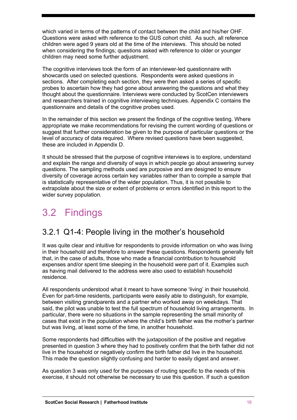which varied in terms of the patterns of contact between the child and his/her OHF. Questions were asked with reference to the GUS cohort child. As such, all reference children were aged 9 years old at the time of the interviews. This should be noted when considering the findings; questions asked with reference to older or younger children may need some further adjustment.

The cognitive interviews took the form of an interviewer-led questionnaire with showcards used on selected questions. Respondents were asked questions in sections. After completing each section, they were then asked a series of specific probes to ascertain how they had gone about answering the questions and what they thought about the questionnaire. Interviews were conducted by ScotCen interviewers and researchers trained in cognitive interviewing techniques. Appendix C contains the questionnaire and details of the cognitive probes used.

In the remainder of this section we present the findings of the cognitive testing. Where appropriate we make recommendations for revising the current wording of questions or suggest that further consideration be given to the purpose of particular questions or the level of accuracy of data required. Where revised questions have been suggested, these are included in Appendix D.

It should be stressed that the purpose of cognitive interviews is to explore, understand and explain the range and diversity of ways in which people go about answering survey questions. The sampling methods used are purposive and are designed to ensure diversity of coverage across certain key variables rather than to compile a sample that is statistically representative of the wider population. Thus, it is not possible to extrapolate about the size or extent of problems or errors identified in this report to the wider survey population.

## 3.2 Findings

## 3.2.1 Q1-4: People living in the mother's household

It was quite clear and intuitive for respondents to provide information on who was living in their household and therefore to answer these questions. Respondents generally felt that, in the case of adults, those who made a financial contribution to household expenses and/or spent time sleeping in the household were part of it. Examples such as having mail delivered to the address were also used to establish household residence.

All respondents understood what it meant to have someone 'living' in their household. Even for part-time residents, participants were easily able to distinguish, for example, between visiting grandparents and a partner who worked away on weekdays. That said, the pilot was unable to test the full spectrum of household living arrangements. In particular, there were no situations in the sample representing the small minority of cases that exist in the population where the child's birth father was the mother's partner but was living, at least some of the time, in another household.

Some respondents had difficulties with the juxtaposition of the positive and negative presented in question 3 where they had to positively confirm that the birth father did not live in the household or negatively confirm the birth father did live in the household. This made the question slightly confusing and harder to easily digest and answer.

As question 3 was only used for the purposes of routing specific to the needs of this exercise, it should not otherwise be necessary to use this question. If such a question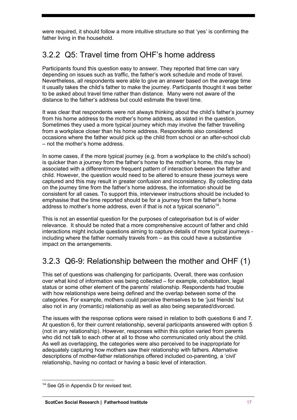were required, it should follow a more intuitive structure so that 'yes' is confirming the father living in the household.

## 3.2.2 Q5: Travel time from OHF's home address

Participants found this question easy to answer. They reported that time can vary depending on issues such as traffic, the father's work schedule and mode of travel. Nevertheless, all respondents were able to give an answer based on the average time it usually takes the child's father to make the journey. Participants thought it was better to be asked about travel time rather than distance. Many were not aware of the distance to the father's address but could estimate the travel time.

It was clear that respondents were not always thinking about the child's father's journey from his home address to the mother's home address, as stated in the question. Sometimes they used a more typical journey which may involve the father travelling from a workplace closer than his home address. Respondents also considered occasions where the father would pick up the child from school or an after-school club – not the mother's home address.

In some cases, if the more typical journey (e.g. from a workplace to the child's school) is quicker than a journey from the father's home to the mother's home, this may be associated with a different/more frequent pattern of interaction between the father and child. However, the question would need to be altered to ensure these journeys were captured and this may result in greater confusion and inconsistency. By collecting data on the journey time from the father's home address, the information should be consistent for all cases. To support this, interviewer instructions should be included to emphasise that the time reported should be for a journey from the father's home address to mother's home address, even if that is not a typical scenario<sup>14</sup>.

This is not an essential question for the purposes of categorisation but is of wider relevance. It should be noted that a more comprehensive account of father and child interactions might include questions aiming to capture details of more typical journeys including where the father normally travels from – as this could have a substantive impact on the arrangements.

## 3.2.3 Q6-9: Relationship between the mother and OHF (1)

This set of questions was challenging for participants. Overall, there was confusion over what kind of information was being collected – for example, cohabitation, legal status or some other element of the parents' relationship. Respondents had trouble with how relationships were being defined and the overlap between some of the categories. For example, mothers could perceive themselves to be 'just friends' but also not in any (romantic) relationship as well as also being separated/divorced.

The issues with the response options were raised in relation to both questions 6 and 7. At question 6, for their current relationship, several participants answered with option 5 (not in any relationship). However, responses within this option varied from parents who did not talk to each other at all to those who communicated only about the child. As well as overlapping, the categories were also perceived to be inappropriate for adequately capturing how mothers saw their relationship with fathers. Alternative descriptions of mother-father relationships offered included co-parenting, a 'civil' relationship, having no contact or having a basic level of interaction.

<sup>&</sup>lt;sup>14</sup> See Q5 in Appendix D for revised text.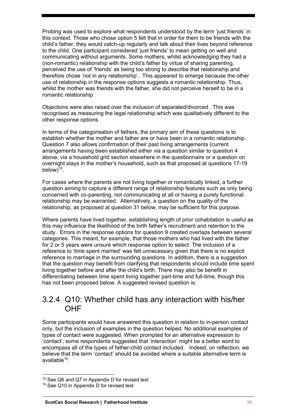Probing was used to explore what respondents understood by the term 'just friends' in this context. Those who chose option 5 felt that in order for them to be friends with the child's father, they would catch-up regularly and talk about their lives beyond reference to the child. One participant considered 'just friends' to mean getting on well and communicating without arguments. Some mothers, whilst acknowledging they had a (non-romantic) relationship with the child's father by virtue of sharing parenting, perceived the use of 'friends' as being too strong to describe that relationship and therefore chose 'not in any relationship'. This appeared to emerge because the other use of relationship in the response options suggests a romantic relationship. Thus, whilst the mother was friends with the father, she did not perceive herself to be in a romantic relationship.

Objections were also raised over the inclusion of separated/divorced. This was recognised as measuring the legal relationship which was qualitatively different to the other response options.

In terms of the categorisation of fathers, the primary aim of these questions is to establish whether the mother and father are or have been in a romantic relationship. Question 7 also allows confirmation of their past living arrangements (current arrangements having been established either via a question similar to question 4 above, via a household grid section elsewhere in the questionnaire or a question on overnight stays in the mother's household, such as that proposed at questions 17-19 below $)^{15}$ .

For cases where the parents are not living together or romantically linked, a further question aiming to capture a different range of relationship features such as only being concerned with co-parenting, not communicating at all or having a purely functional relationship may be warranted. Alternatively, a question on the quality of the relationship, as proposed at question 31 below, may be sufficient for this purpose.

Where parents have lived together, establishing length of prior cohabitation is useful as this may influence the likelihood of the birth father's recruitment and retention to the study. Errors in the response options for question 9 created overlaps between several categories. This meant, for example, that those mothers who had lived with the father for 2 or 5 years were unsure which response option to select. The inclusion of a reference to 'time spent married' was felt unnecessary given that there is no explicit reference to marriage in the surrounding questions. In addition, there is a suggestion that the question may benefit from clarifying that respondents should include time spent living together before and after the child's birth. There may also be benefit in differentiating between time spent living together part-time and full-time, though this has not been proposed below. A suggested revised question is:

## 3.2.4 Q10: Whether child has any interaction with his/her OHF

Some participants would have answered this question in relation to in-person contact only, but the inclusion of examples in the question helped. No additional examples of types of contact were suggested. When prompted for an alternative expression to 'contact', some respondents suggested that 'interaction' might be a better word to encompass all of the types of father-child contact included. Indeed, on reflection, we believe that the term 'contact' should be avoided where a suitable alternative term is available $16$ 

<sup>&</sup>lt;sup>15</sup> See Q6 and Q7 in Appendix D for revised text

<sup>&</sup>lt;sup>16</sup> See Q10 in Appendix D for revised text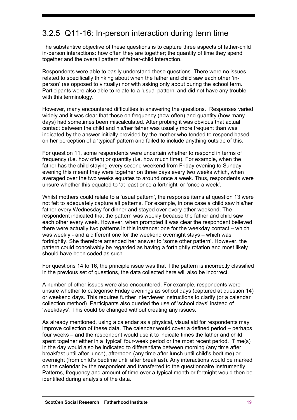## 3.2.5 Q11-16: In-person interaction during term time

The substantive objective of these questions is to capture three aspects of father-child in-person interactions: how often they are together; the quantity of time they spend together and the overall pattern of father-child interaction.

Respondents were able to easily understand these questions. There were no issues related to specifically thinking about when the father and child saw each other 'inperson' (as opposed to virtually) nor with asking only about during the school term. Participants were also able to relate to a 'usual pattern' and did not have any trouble with this terminology.

However, many encountered difficulties in answering the questions. Responses varied widely and it was clear that those on frequency (how often) and quantity (how many days) had sometimes been miscalculated. After probing it was obvious that actual contact between the child and his/her father was usually more frequent than was indicated by the answer initially provided by the mother who tended to respond based on her perception of a 'typical' pattern and failed to include anything outside of this.

For question 11, some respondents were uncertain whether to respond in terms of frequency (i.e. how often) or quantity (i.e. how much time). For example, when the father has the child staying every second weekend from Friday evening to Sunday evening this meant they were together on three days every two weeks which, when averaged over the two weeks equates to around once a week. Thus, respondents were unsure whether this equated to 'at least once a fortnight' or 'once a week'.

Whilst mothers could relate to a 'usual pattern', the response items at question 13 were not felt to adequately capture all patterns. For example, in one case a child saw his/her father every Wednesday for dinner and stayed over every other weekend. The respondent indicated that the pattern was weekly because the father and child saw each other every week. However, when prompted it was clear the respondent believed there were actually two patterns in this instance: one for the weekday contact – which was weekly - and a different one for the weekend overnight stays – which was fortnightly. She therefore amended her answer to 'some other pattern'. However, the pattern could conceivably be regarded as having a fortnightly rotation and most likely should have been coded as such.

For questions 14 to 16, the principle issue was that if the pattern is incorrectly classified in the previous set of questions, the data collected here will also be incorrect.

A number of other issues were also encountered. For example, respondents were unsure whether to categorise Friday evenings as school days (captured at question 14) or weekend days. This requires further interviewer instructions to clarify (or a calendar collection method). Participants also queried the use of 'school days' instead of 'weekdays'. This could be changed without creating any issues.

As already mentioned, using a calendar as a physical, visual aid for respondents may improve collection of these data. The calendar would cover a defined period – perhaps four weeks – and the respondent would use it to indicate times the father and child spent together either in a 'typical' four-week period or the most recent period. Time(s) in the day would also be indicated to differentiate between morning (any time after breakfast until after lunch), afternoon (any time after lunch until child's bedtime) or overnight (from child's bedtime until after breakfast). Any interactions would be marked on the calendar by the respondent and transferred to the questionnaire instrumently. Patterns, frequency and amount of time over a typical month or fortnight would then be identified during analysis of the data.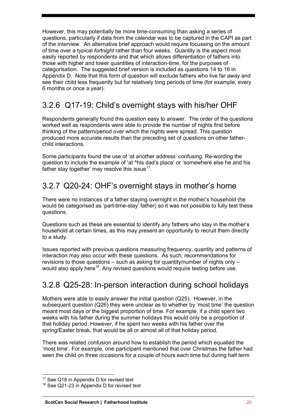However, this may potentially be more time-consuming than asking a series of questions, particularly if data from the calendar was to be captured in the CAPI as part of the interview. An alternative brief approach would require focussing on the amount of time over a typical *fortnight* rather than four weeks. Quantity is the aspect most easily reported by respondents and that which allows differentiation of fathers into those with higher and lower quantities of interaction-time, for the purposes of categorisation. The suggested brief version is included as questions 14 to 16 in Appendix D. Note that this form of question will exclude fathers who live far away and see their child less frequently but for relatively long periods of time (for example, every 6 months or once a year).

## 3.2.6 Q17-19: Child's overnight stays with his/her OHF

Respondents generally found this question easy to answer. The order of the questions worked well as respondents were able to provide the number of nights first before thinking of the pattern/period over which the nights were spread. This question produced more accurate results than the preceding set of questions on other fatherchild interactions.

Some participants found the use of 'at another address' confusing. Re-wording the question to include the example of 'at ^his dad's place' or 'somewhere else he and his father stay together' may resolve this issue $17$ .

## 3.2.7 Q20-24: OHF's overnight stays in mother's home

There were no instances of a father staying overnight in the mother's household (he would be categorised as 'part-time-stay' father) so it was not possible to fully test these questions.

Questions such as these are essential to identify any fathers who stay in the mother's household at certain times, as this may present an opportunity to recruit them directly to a study.

Issues reported with previous questions measuring frequency, quantity and patterns of interaction may also occur with these questions. As such, recommendations for revisions to those questions – such as asking for quantity/number of nights only – would also apply here<sup>18</sup>. Any revised questions would require testing before use.

## 3.2.8 Q25-28: In-person interaction during school holidays

Mothers were able to easily answer the initial question (Q25). However, in the subsequent question (Q26) they were unclear as to whether by 'most time' the question meant most days or the biggest proportion of time. For example, if a child spent two weeks with his father during the summer holidays this would only be a proportion of that holiday period. However, if he spent two weeks with his father over the spring/Easter break, that would be all or almost all of that holiday period.

There was related confusion around how to establish the period which equalled the 'most time'. For example, one participant mentioned that over Christmas the father had seen the child on three occasions for a couple of hours each time but during half term

<sup>&</sup>lt;sup>17</sup> See Q18 in Appendix D for revised text

<sup>18</sup> See Q21-23 in Appendix D for revised text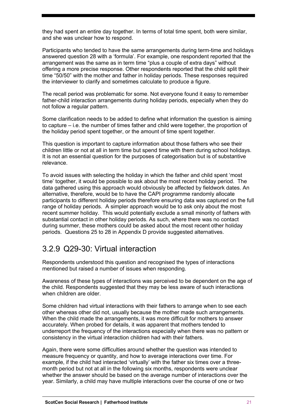they had spent an entire day together. In terms of total time spent, both were similar, and she was unclear how to respond.

Participants who tended to have the same arrangements during term-time and holidays answered question 28 with a 'formula'. For example, one respondent reported that the arrangement was the same as in term time "plus a couple of extra days" without offering a more precise response. Other respondents reported that the child split their time "50/50" with the mother and father in holiday periods. These responses required the interviewer to clarify and sometimes calculate to produce a figure.

The recall period was problematic for some. Not everyone found it easy to remember father-child interaction arrangements during holiday periods, especially when they do not follow a regular pattern.

Some clarification needs to be added to define what information the question is aiming to capture – i.e. the number of times father and child were together, the proportion of the holiday period spent together, or the amount of time spent together.

This question is important to capture information about those fathers who see their children little or not at all in term time but spend time with them during school holidays. It is not an essential question for the purposes of categorisation but is of substantive relevance.

To avoid issues with selecting the holiday in which the father and child spent 'most time' together, it would be possible to ask about the most recent holiday period. The data gathered using this approach would obviously be affected by fieldwork dates. An alternative, therefore, would be to have the CAPI programme randomly allocate participants to different holiday periods therefore ensuring data was captured on the full range of holiday periods. A simpler approach would be to ask only about the most recent summer holiday. This would potentially exclude a small minority of fathers with substantial contact in other holiday periods. As such, where there was no contact during summer, these mothers could be asked about the most recent other holiday periods. Questions 25 to 28 in Appendix D provide suggested alternatives.

## 3.2.9 Q29-30: Virtual interaction

Respondents understood this question and recognised the types of interactions mentioned but raised a number of issues when responding.

Awareness of these types of interactions was perceived to be dependent on the age of the child. Respondents suggested that they may be less aware of such interactions when children are older.

Some children had virtual interactions with their fathers to arrange when to see each other whereas other did not, usually because the mother made such arrangements. When the child made the arrangements, it was more difficult for mothers to answer accurately. When probed for details, it was apparent that mothers tended to underreport the frequency of the interactions especially when there was no pattern or consistency in the virtual interaction children had with their fathers.

Again, there were some difficulties around whether the question was intended to measure frequency or quantity, and how to average interactions over time. For example, if the child had interacted 'virtually' with the father six times over a threemonth period but not at all in the following six months, respondents were unclear whether the answer should be based on the average number of interactions over the year. Similarly, a child may have multiple interactions over the course of one or two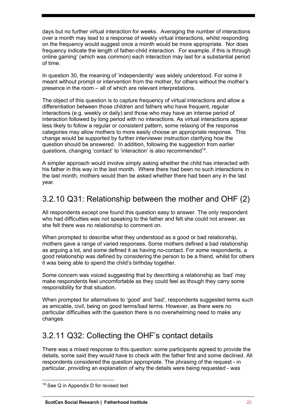days but no further virtual interaction for weeks. Averaging the number of interactions over a month may lead to a response of weekly virtual interactions, whilst responding on the frequency would suggest once a month would be more appropriate. Nor does frequency indicate the length of father-child interaction. For example, if this is through online gaming' (which was common) each interaction may last for a substantial period of time.

In question 30, the meaning of 'independently' was widely understood. For some it meant without prompt or intervention from the mother, for others without the mother's presence in the room – all of which are relevant interpretations.

The object of this question is to capture frequency of virtual interactions and allow a differentiation between those children and fathers who have frequent, regular interactions (e.g. weekly or daily) and those who may have an intense period of interaction followed by long period with no interactions. As virtual interactions appear less likely to follow a regular or consistent pattern, some relaxing of the response categories may allow mothers to more easily choose an appropriate response. This change would be supported by further interviewer instruction clarifying how the question should be answered. In addition, following the suggestion from earlier questions, changing 'contact' to 'interaction' is also recommended<sup>19</sup>.

A simpler approach would involve simply asking whether the child has interacted with his father in this way in the last month. Where there had been no such interactions in the last month, mothers would then be asked whether there had been any in the last year.

## 3.2.10 Q31: Relationship between the mother and OHF (2)

All respondents except one found this question easy to answer. The only respondent who had difficulties was not speaking to the father and felt she could not answer, as she felt there was no relationship to comment on.

When prompted to describe what they understood as a good or bad relationship, mothers gave a range of varied responses. Some mothers defined a bad relationship as arguing a lot, and some defined it as having no-contact. For some respondents, a good relationship was defined by considering the person to be a friend, whilst for others it was being able to spend the child's birthday together.

Some concern was voiced suggesting that by describing a relationship as 'bad' may make respondents feel uncomfortable as they could feel as though they carry some responsibility for that situation.

When prompted for alternatives to 'good' and 'bad', respondents suggested terms such as amicable, civil, being on good terms/bad terms. However, as there were no particular difficulties with the question there is no overwhelming need to make any changes.

## 3.2.11 Q32: Collecting the OHF's contact details

There was a mixed response to this question: some participants agreed to provide the details, some said they would have to check with the father first and some declined. All respondents considered the question appropriate. The phrasing of the request - in particular, providing an explanation of why the details were being requested - was

<sup>&</sup>lt;sup>19</sup> See Q in Appendix D for revised text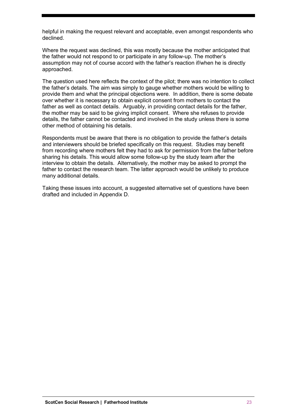helpful in making the request relevant and acceptable, even amongst respondents who declined.

Where the request was declined, this was mostly because the mother anticipated that the father would not respond to or participate in any follow-up. The mother's assumption may not of course accord with the father's reaction if/when he is directly approached.

The question used here reflects the context of the pilot; there was no intention to collect the father's details. The aim was simply to gauge whether mothers would be willing to provide them and what the principal objections were. In addition, there is some debate over whether it is necessary to obtain explicit consent from mothers to contact the father as well as contact details. Arguably, in providing contact details for the father, the mother may be said to be giving implicit consent. Where she refuses to provide details, the father cannot be contacted and involved in the study unless there is some other method of obtaining his details.

Respondents must be aware that there is no obligation to provide the father's details and interviewers should be briefed specifically on this request. Studies may benefit from recording where mothers felt they had to ask for permission from the father before sharing his details. This would allow some follow-up by the study team after the interview to obtain the details. Alternatively, the mother may be asked to prompt the father to contact the research team. The latter approach would be unlikely to produce many additional details.

Taking these issues into account, a suggested alternative set of questions have been drafted and included in Appendix D.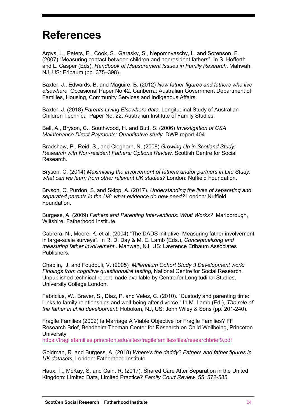## **References**

Argys, L., Peters, E., Cook, S., Garasky, S., Nepomnyaschy, L. and Sorenson, E. (2007) "Measuring contact between children and nonresident fathers". In S. Hofferth and L. Casper (Eds), *Handbook of Measurement Issues in Family Research*. Mahwah, NJ, US: Erlbaum (pp. 375–398).

Baxter, J., Edwards, B. and Maguire, B. (2012) *New father figures and fathers who live elsewhere*. Occasional Paper No 42. Canberra: Australian Government Department of Families, Housing, Community Services and Indigenous Affairs.

Baxter, J. (2018) *Parents Living Elsewhere data*. Longitudinal Study of Australian Children Technical Paper No. 22. Australian Institute of Family Studies.

Bell, A., Bryson, C., Southwood, H. and Butt, S. (2006) *Investigation of CSA Maintenance Direct Payments: Quantitative study*. DWP report 404.

Bradshaw, P., Reid, S., and Cleghorn, N. (2008) *Growing Up in Scotland Study: Research with Non-resident Fathers: Options Review*. Scottish Centre for Social Research.

Bryson, C. (2014) *Maximising the involvement of fathers and/or partners in Life Study: what can we learn from other relevant UK studies?* London: Nuffield Foundation.

Bryson, C. Purdon, S. and Skipp, A. (2017). *Understanding the lives of separating and separated parents in the UK: what evidence do new need?* London: Nuffield Foundation.

Burgess, A. (2009) *Fathers and Parenting Interventions: What Works?* Marlborough, Wiltshire: Fatherhood Institute

Cabrera, N., Moore, K. et al. (2004) "The DADS initiative: Measuring father involvement in large-scale surveys". In R. D. Day & M. E. Lamb (Eds.), *Conceptualizing and measuring father involvement* . Mahwah, NJ, US: Lawrence Erlbaum Associates Publishers.

Chaplin, J. and Foudouli, V. (2005) *Millennium Cohort Study 3 Development work: Findings from cognitive questionnaire testing*, National Centre for Social Research. Unpublished technical report made available by Centre for Longitudinal Studies, University College London.

Fabricius, W., Braver, S., Diaz, P. and Velez, C. (2010). "Custody and parenting time: Links to family relationships and well-being after divorce." In M. Lamb (Ed.), *The role of the father in child development*. Hoboken, NJ, US: John Wiley & Sons (pp. 201-240).

Fragile Families (2002) Is Marriage A Viable Objective for Fragile Families? FF Research Brief, Bendheim-Thoman Center for Research on Child Wellbeing, Princeton **University** 

https://fragilefamilies.princeton.edu/sites/fragilefamilies/files/researchbrief9.pdf

Goldman, R. and Burgess, A. (2018) *Where's the daddy? Fathers and father figures in UK datasets,* London: Fatherhood Institute

Haux, T., McKay, S. and Cain, R. (2017). Shared Care After Separation in the United Kingdom: Limited Data, Limited Practice? *Family Court Review*. 55: 572-585.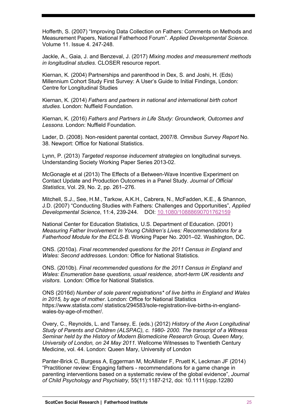Hofferth, S. (2007) "Improving Data Collection on Fathers: Comments on Methods and Measurement Papers, National Fatherhood Forum"*. Applied Developmental Science.* Volume 11. Issue 4. 247-248.

Jackle, A., Gaia, J. and Benzeval, J. (2017) *Mixing modes and measurement methods in longitudinal studies*. CLOSER resource report.

Kiernan, K. (2004) Partnerships and parenthood in Dex, S. and Joshi, H. (Eds) Millennium Cohort Study First Survey: A User's Guide to Initial Findings, London: Centre for Longitudinal Studies

Kiernan, K. (2014) *Fathers and partners in national and international birth cohort studies.* London: Nuffield Foundation.

Kiernan, K. (2016) *Fathers and Partners in Life Study: Groundwork, Outcomes and Lessons*. London: Nuffield Foundation.

Lader, D. (2008). Non-resident parental contact, 2007/8. *Omnibus Survey Report* No. 38. Newport: Office for National Statistics.

Lynn, P. (2013) *Targeted response inducement strategies* on longitudinal surveys. Understanding Society Working Paper Series 2013-02.

McGonagle et al (2013) The Effects of a Between-Wave Incentive Experiment on Contact Update and Production Outcomes in a Panel Study. *Journal of Official Statistics*, Vol. 29, No. 2, pp. 261–276.

Mitchell, S.J., See, H.M., Tarkow, A.K.H., Cabrera, N., McFadden, K.E., & Shannon, J.D. (2007) "Conducting Studies with Fathers: Challenges and Opportunities", *Applied Developmental Science*, 11:4, 239-244. DOI: 10.1080/10888690701762159

National Center for Education Statistics, U.S. Department of Education. (2001) *Measuring Father Involvement In Young Children's Lives: Recommendations for a Fatherhood Module for the ECLS-B.* Working Paper No. 2001–02. Washington, DC.

ONS. (2010a). *Final recommended questions for the 2011 Census in England and Wales: Second addresses.* London: Office for National Statistics.

ONS. (2010b). *Final recommended questions for the 2011 Census in England and Wales: Enumeration base questions, usual residence, short-term UK residents and visitors*. London: Office for National Statistics.

ONS (2016d) *Number of sole parent registrations\* of live births in England and Wales in 2015, by age of mother*. London: Office for National Statistics https://www.statista.com/ statistics/294583/sole-registration-live-births-in-englandwales-by-age-of-mother/.

Overy, C., Reynolds, L. and Tansey, E. (eds.) (2012) *History of the Avon Longitudinal Study of Parents and Children (ALSPAC), c. 1980- 2000. The transcript of a Witness Seminar held by the History of Modern Biomedicine Research Group, Queen Mary, University of London, on 24 May 2011.* Wellcome Witnesses to Twentieth Century Medicine, vol. 44. London: Queen Mary, University of London

Panter-Brick C, Burgess A, Eggerman M, McAllister F, Pruett K, Leckman JF (2014) "Practitioner review: Engaging fathers - recommendations for a game change in parenting interventions based on a systematic review of the global evidence", *Journal of Child Psychology and Psychiatry,* 55(11):1187-212, doi: 10.1111/jcpp.12280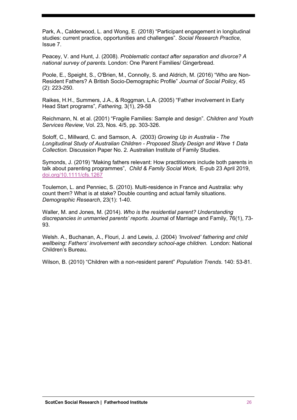Park, A., Calderwood, L. and Wong, E. (2018) "Participant engagement in longitudinal studies: current practice, opportunities and challenges". *Social Research Practice*, Issue 7.

Peacey, V. and Hunt, J. (2008). *Problematic contact after separation and divorce? A national survey of parents.* London: One Parent Families/ Gingerbread.

Poole, E., Speight, S., O'Brien, M., Connolly, S. and Aldrich, M. (2016) "Who are Non-Resident Fathers? A British Socio-Demographic Profile" *Journal of Social Policy*, 45 (2): 223-250.

Raikes, H.H., Summers, J.A., & Roggman, L.A. (2005) "Father involvement in Early Head Start programs", *Fathering,* 3(1), 29-58

Reichmann, N. et al. (2001) "Fragile Families: Sample and design". *Children and Youth Services Review,* Vol. 23, Nos. 4/5, pp. 303-326.

Soloff, C., Millward, C. and Samson, A. (2003) *Growing Up in Australia - The Longitudinal Study of Australian Children - Proposed Study Design and Wave 1 Data Collection.* Discussion Paper No. 2. Australian Institute of Family Studies.

Symonds, J. (2019) "Making fathers relevant: How practitioners include both parents in talk about parenting programmes", *Child & Family Social Work,* E-pub 23 April 2019, doi.org/10.1111/cfs.1267

Toulemon, L. and Penniec, S. (2010). Multi-residence in France and Australia: why count them? What is at stake? Double counting and actual family situations. *Demographic Research*, 23(1): 1-40.

Waller, M. and Jones, M. (2014). *Who is the residential parent? Understanding discrepancies in unmarried parents' reports*. Journal of Marriage and Family, 76(1), 73- 93.

Welsh. A., Buchanan, A., Flouri, J. and Lewis, J. (2004) *'Involved' fathering and child*  wellbeing: Fathers' involvement with secondary school-age children. London: National Children's Bureau.

Wilson, B. (2010) "Children with a non-resident parent" *Population Trends*. 140: 53-81.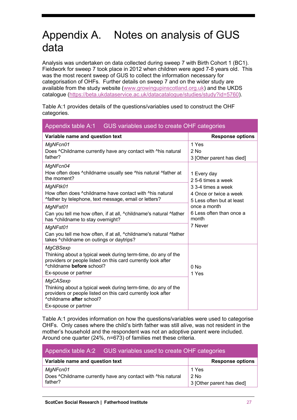## Appendix A. Notes on analysis of GUS data

Analysis was undertaken on data collected during sweep 7 with Birth Cohort 1 (BC1). Fieldwork for sweep 7 took place in 2012 when children were aged 7-8 years old. This was the most recent sweep of GUS to collect the information necessary for categorisation of OHFs. Further details on sweep 7 and on the wider study are available from the study website (www.growingupinscotland.org.uk) and the UKDS catalogue (https://beta.ukdataservice.ac.uk/datacatalogue/studies/study?id=5760).

Table A:1 provides details of the questions/variables used to construct the OHF categories.

| Appendix table A:1<br>GUS variables used to create OHF categories                                                                                                                              |                                                                                                                                |  |
|------------------------------------------------------------------------------------------------------------------------------------------------------------------------------------------------|--------------------------------------------------------------------------------------------------------------------------------|--|
| Variable name and question text                                                                                                                                                                | <b>Response options</b>                                                                                                        |  |
| MgNFcn01<br>Does ^Childname currently have any contact with ^his natural<br>father?                                                                                                            | 1 Yes<br>$2$ No<br>3 [Other parent has died]                                                                                   |  |
| MgNFcn04<br>How often does ^childname usually see ^his natural ^father at<br>the moment?                                                                                                       | 1 Every day<br>2 5-6 times a week                                                                                              |  |
| MgNFtk01<br>How often does ^childname have contact with ^his natural<br>^father by telephone, text message, email or letters?                                                                  | 3 3-4 times a week<br>4 Once or twice a week<br>5 Less often but at least<br>once a month<br>6 Less often than once a<br>month |  |
| MgNFst01<br>Can you tell me how often, if at all, ^childname's natural ^father<br>has ^childname to stay overnight?                                                                            |                                                                                                                                |  |
| MgNFst01<br>Can you tell me how often, if at all, ^childname's natural ^father<br>takes ^childname on outings or daytrips?                                                                     | 7 Never                                                                                                                        |  |
| MgCBSexp<br>Thinking about a typical week during term-time, do any of the<br>providers or people listed on this card currently look after<br>Achildname before school?<br>Ex-spouse or partner | $0$ No<br>1 Yes                                                                                                                |  |
| MgCASexp<br>Thinking about a typical week during term-time, do any of the<br>providers or people listed on this card currently look after<br>^childname after school?<br>Ex-spouse or partner  |                                                                                                                                |  |

Table A:1 provides information on how the questions/variables were used to categorise OHFs. Only cases where the child's birth father was still alive, was not resident in the mother's household and the respondent was not an adoptive parent were included. Around one quarter (24%, n=673) of families met these criteria.

|                                                              | Appendix table A:2 GUS variables used to create OHF categories |                           |
|--------------------------------------------------------------|----------------------------------------------------------------|---------------------------|
| Variable name and question text                              |                                                                | <b>Response options</b>   |
| MgNFcn01                                                     |                                                                | 1 Yes                     |
| Does ^Childname currently have any contact with ^his natural |                                                                | 2 No                      |
| father?                                                      |                                                                | 3 [Other parent has died] |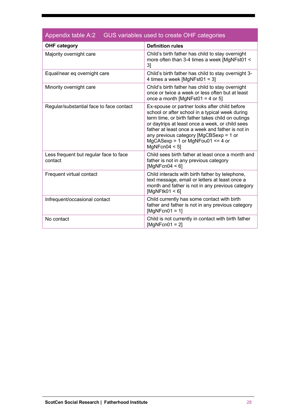| Appendix table A:2 GUS variables used to create OHF categories |                                                                                                                                                                                                                                                                                                                                                                   |  |
|----------------------------------------------------------------|-------------------------------------------------------------------------------------------------------------------------------------------------------------------------------------------------------------------------------------------------------------------------------------------------------------------------------------------------------------------|--|
| <b>OHF category</b>                                            | <b>Definition rules</b>                                                                                                                                                                                                                                                                                                                                           |  |
| Majority overnight care                                        | Child's birth father has child to stay overnight<br>more often than 3-4 times a week [MgNFst01 <<br>31                                                                                                                                                                                                                                                            |  |
| Equal/near eq overnight care                                   | Child's birth father has child to stay overnight 3-<br>4 times a week $[MgNFst01 = 3]$                                                                                                                                                                                                                                                                            |  |
| Minority overnight care                                        | Child's birth father has child to stay overnight<br>once or twice a week or less often but at least<br>once a month [MgNFst01 = 4 or 5]                                                                                                                                                                                                                           |  |
| Regular/substantial face to face contact                       | Ex-spouse or partner looks after child before<br>school or after school in a typical week during<br>term time, or birth father takes child on outings<br>or daytrips at least once a week, or child sees<br>father at least once a week and father is not in<br>any previous category [MgCBSexp = $1$ or<br>$MgCASexp = 1$ or $MgNFou01 \le 4$ or<br>MqNFcn04 < 5 |  |
| Less frequent but regular face to face<br>contact              | Child sees birth father at least once a month and<br>father is not in any previous category<br>[MgNFcn04 $<$ 6]                                                                                                                                                                                                                                                   |  |
| Frequent virtual contact                                       | Child interacts with birth father by telephone,<br>text message, email or letters at least once a<br>month and father is not in any previous category<br>[MgNFtk01 < 6]                                                                                                                                                                                           |  |
| Infrequent/occasional contact                                  | Child currently has some contact with birth<br>father and father is not in any previous category<br>$[MgNFcn01 = 1]$                                                                                                                                                                                                                                              |  |
| No contact                                                     | Child is not currently in contact with birth father<br>$[MgNFcn01 = 2]$                                                                                                                                                                                                                                                                                           |  |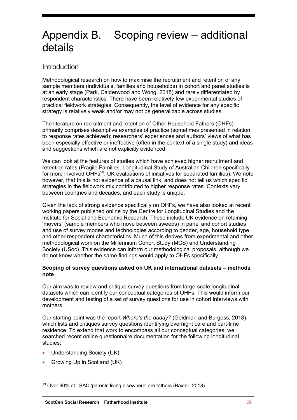## Appendix B. Scoping review – additional details

## **Introduction**

Methodological research on how to maximise the recruitment and retention of any sample members (individuals, families and households) in cohort and panel studies is at an early stage (Park, Calderwood and Wong, 2018) and rarely differentiated by respondent characteristics. There have been relatively few experimental studies of practical fieldwork strategies. Consequently, the level of evidence for any specific strategy is relatively weak and/or may not be generalizable across studies.

The literature on recruitment and retention of Other Household Fathers (OHFs) primarily comprises descriptive examples of practice (sometimes presented in relation to response rates achieved); researchers' experiences and authors' views of what has been especially effective or ineffective (often in the context of a single study) and ideas and suggestions which are not explicitly evidenced.

We can look at the features of studies which have achieved higher recruitment and retention rates (Fragile Families, Longitudinal Study of Australian Children specifically for more involved OHFs<sup>20</sup>, UK evaluations of initiatives for separated families). We note however, that this is not evidence of a causal link, and does not tell us which specific strategies in the fieldwork mix contributed to higher response rates. Contexts vary between countries and decades, and each study is unique.

Given the lack of strong evidence specifically on OHFs, we have also looked at recent working papers published online by the Centre for Longitudinal Studies and the Institute for Social and Economic Research. These include UK evidence on retaining 'movers' (sample members who move between sweeps) in panel and cohort studies and use of survey modes and technologies according to gender, age, household type and other respondent characteristics. Much of this derives from experimental and other methodological work on the Millennium Cohort Study (MCS) and Understanding Society (USoc). This evidence can inform our methodological proposals, although we do not know whether the same findings would apply to OHFs specifically.

#### **Scoping of survey questions asked on UK and international datasets – methods note**

Our aim was to review and critique survey questions from large-scale longitudinal datasets which can identify our conceptual categories of OHFs. This would inform our development and testing of a set of survey questions for use in cohort interviews with mothers.

Our starting point was the report *Where's the daddy?* (Goldman and Burgess, 2018), which lists and critiques survey questions identifying overnight care and part-time residence. To extend that work to encompass all our conceptual categories, we searched recent online questionnaire documentation for the following longitudinal studies:

- Understanding Society (UK)
- Growing Up in Scotland (UK)

<sup>&</sup>lt;sup>13</sup> Over 90% of LSAC 'parents living elsewhere' are fathers (Baxter, 2018).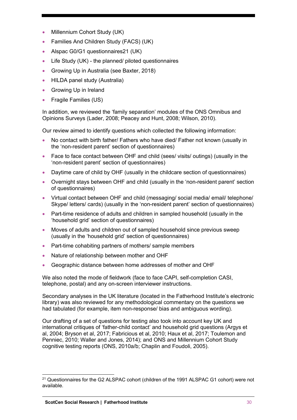- Millennium Cohort Study (UK)
- Families And Children Study (FACS) (UK)
- Alspac G0/G1 questionnaires21 (UK)
- Life Study (UK) the planned/ piloted questionnaires
- Growing Up in Australia (see Baxter, 2018)
- HILDA panel study (Australia)
- Growing Up in Ireland
- Fragile Families (US)

In addition, we reviewed the 'family separation' modules of the ONS Omnibus and Opinions Surveys (Lader, 2008; Peacey and Hunt, 2008; Wilson, 2010).

Our review aimed to identify questions which collected the following information:

- No contact with birth father/ Fathers who have died/ Father not known (usually in the 'non-resident parent' section of questionnaires)
- Face to face contact between OHF and child (sees/ visits/ outings) (usually in the 'non-resident parent' section of questionnaires)
- Daytime care of child by OHF (usually in the childcare section of questionnaires)
- Overnight stays between OHF and child (usually in the 'non-resident parent' section of questionnaires)
- Virtual contact between OHF and child (messaging/ social media/ email/ telephone/ Skype/ letters/ cards) (usually in the 'non-resident parent' section of questionnaires)
- Part-time residence of adults and children in sampled household (usually in the 'household grid' section of questionnaires)
- Moves of adults and children out of sampled household since previous sweep (usually in the 'household grid' section of questionnaires)
- Part-time cohabiting partners of mothers/ sample members
- Nature of relationship between mother and OHF
- Geographic distance between home addresses of mother and OHF

We also noted the mode of fieldwork (face to face CAPI, self-completion CASI, telephone, postal) and any on-screen interviewer instructions.

Secondary analyses in the UK literature (located in the Fatherhood Institute's electronic library) was also reviewed for any methodological commentary on the questions we had tabulated (for example, item non-response/ bias and ambiguous wording).

Our drafting of a set of questions for testing also took into account key UK and international critiques of 'father-child contact' and household grid questions (Argys et al, 2004; Bryson et al, 2017; Fabricious et al, 2010; Haux et al, 2017; Toulemon and Penniec, 2010; Waller and Jones, 2014); and ONS and Millennium Cohort Study cognitive testing reports (ONS, 2010a/b; Chaplin and Foudoli, 2005).

 $21$  Questionnaires for the G2 ALSPAC cohort (children of the 1991 ALSPAC G1 cohort) were not available.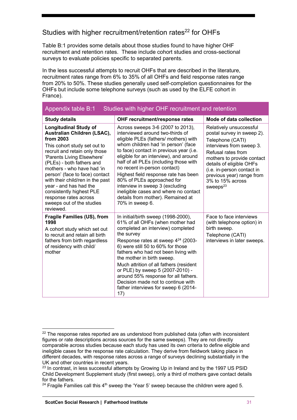## Studies with higher recruitment/retention rates<sup>22</sup> for OHFs

Table B:1 provides some details about those studies found to have higher OHF recruitment and retention rates. These include cohort studies and cross-sectional surveys to evaluate policies specific to separated parents.

In the less successful attempts to recruit OHFs that are described in the literature, recruitment rates range from 6% to 35% of all OHFs and field response rates range from 20% to 50%. These studies generally used self-completion questionnaires for the OHFs but include some telephone surveys (such as used by the ELFE cohort in France).

| <b>Appendix table B:1</b><br>Studies with higher OHF recruitment and retention                                                                                                                                                                                                                                                                                                                                                    |                                                                                                                                                                                                                                                                                                                                                                                                                                                                                                                                |                                                                                                                                                                                                                                                                                              |  |
|-----------------------------------------------------------------------------------------------------------------------------------------------------------------------------------------------------------------------------------------------------------------------------------------------------------------------------------------------------------------------------------------------------------------------------------|--------------------------------------------------------------------------------------------------------------------------------------------------------------------------------------------------------------------------------------------------------------------------------------------------------------------------------------------------------------------------------------------------------------------------------------------------------------------------------------------------------------------------------|----------------------------------------------------------------------------------------------------------------------------------------------------------------------------------------------------------------------------------------------------------------------------------------------|--|
| <b>Study details</b>                                                                                                                                                                                                                                                                                                                                                                                                              | OHF recruitment/response rates                                                                                                                                                                                                                                                                                                                                                                                                                                                                                                 | Mode of data collection                                                                                                                                                                                                                                                                      |  |
| <b>Longitudinal Study of</b><br>Australian Children (LSAC),<br>from 2003<br>This cohort study set out to<br>recruit and retain only those<br>'Parents Living Elsewhere'<br>(PLEs) - both fathers and<br>mothers - who have had 'in<br>person' (face to face) contact<br>with their child/ren in the past<br>year - and has had the<br>consistently highest PLE<br>response rates across<br>sweeps out of the studies<br>reviewed. | Across sweeps 3-6 (2007 to 2013),<br>interviewed around two-thirds of<br>eligible PLEs (fathers/ mothers) with<br>whom children had 'in person' (face<br>to face) contact in previous year (i.e.<br>eligible for an interview), and around<br>half of all PLEs (including those with<br>no recent in-person contact)<br>Highest field response rate has been<br>80% of PLEs approached for<br>interview in sweep 3 (excluding<br>ineligible cases and where no contact<br>details from mother). Remained at<br>70% in sweep 6. | Relatively unsuccessful<br>postal survey in sweep 2).<br>Telephone (CATI)<br>interviews from sweep 3.<br>Refusal rates from<br>mothers to provide contact<br>details of eligible OHFs<br>(i.e. in-person contact in<br>previous year) range from<br>3% to 15% across<br>sweeps <sup>23</sup> |  |
| <b>Fragile Families (US), from</b><br>1998<br>A cohort study which set out<br>to recruit and retain all birth<br>fathers from birth regardless<br>of residency with child/<br>mother                                                                                                                                                                                                                                              | In initial/birth sweep (1998-2000),<br>61% of all OHFs (when mother had<br>completed an interview) completed<br>the survey<br>Response rates at sweep $4^{24}$ (2003-<br>6) were still 50 to 60% for those<br>fathers who had not been living with<br>the mother in birth sweep.<br>Much attrition of all fathers (resident<br>or PLE) by sweep 5 (2007-2010) -<br>around 55% response for all fathers.<br>Decision made not to continue with<br>father interviews for sweep 6 (2014-<br>17)                                   | Face to face interviews<br>(with telephone option) in<br>birth sweep.<br>Telephone (CATI)<br>interviews in later sweeps.                                                                                                                                                                     |  |

 $22$  The response rates reported are as understood from published data (often with inconsistent figures or rate descriptions across sources for the same sweeps). They are not directly comparable across studies because each study has used its own criteria to define eligible and ineligible cases for the response rate calculation. They derive from fieldwork taking place in different decades, with response rates across a range of surveys declining substantially in the UK and other countries in recent years.

 $23$  In contrast, in less successful attempts by Growing Up in Ireland and by the 1997 US PSID Child Development Supplement study (first sweep), only a third of mothers gave contact details for the fathers.

<sup>&</sup>lt;sup>24</sup> Fragile Families call this  $4<sup>th</sup>$  sweep the 'Year 5' sweep because the children were aged 5.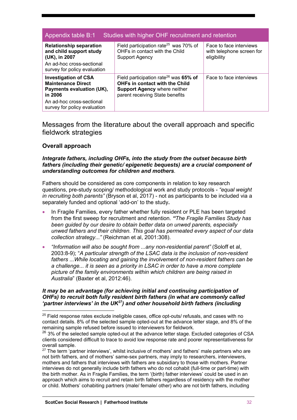| Studies with higher OHF recruitment and retention<br>Appendix table B:1                          |                                                                                                                                                               |                                                                     |
|--------------------------------------------------------------------------------------------------|---------------------------------------------------------------------------------------------------------------------------------------------------------------|---------------------------------------------------------------------|
| <b>Relationship separation</b><br>and child support study<br>(UK), in 2007                       | Field participation rate <sup>25</sup> was 70% of<br>OHFs in contact with the Child<br>Support Agency                                                         | Face to face interviews<br>with telephone screen for<br>eligibility |
| An ad-hoc cross-sectional<br>survey for policy evaluation                                        |                                                                                                                                                               |                                                                     |
| <b>Investigation of CSA</b><br><b>Maintenance Direct</b><br>Payments evaluation (UK),<br>in 2006 | Field participation rate <sup>26</sup> was 65% of<br>OHFs in contact with the Child<br><b>Support Agency where neither</b><br>parent receiving State benefits | Face to face interviews                                             |
| An ad-hoc cross-sectional<br>survey for policy evaluation                                        |                                                                                                                                                               |                                                                     |

Messages from the literature about the overall approach and specific fieldwork strategies

### **Overall approach**

*Integrate fathers, including OHFs, into the study from the outset because birth fathers (including their genetic/ epigenetic bequests) are a crucial component of understanding outcomes for children and mothers.*

Fathers should be considered as core components in relation to key research questions, pre-study scoping/ methodological work and study protocols - *"equal weight in recruiting both parents"* (Bryson et al, 2017) - not as participants to be included via a separately funded and optional 'add-on' to the study**.** 

- In Fragile Families, every father whether fully resident or PLE has been targeted from the first sweep for recruitment and retention. *"The Fragile Families Study has been guided by our desire to obtain better data on unwed parents, especially unwed fathers and their children. This goal has permeated every aspect of our data collection strategy*...*"* (Reichman et al, 2001:308).
- *"Information will also be sought from ...any non-residential parent"* (Soloff et al, 2003:8-9); "*A particular strength of the LSAC data is the inclusion of non-resident fathers ...While locating and gaining the involvement of non-resident fathers can be a challenge... it is seen as a priority in LSAC in order to have a more complete picture of the family environments within which children are being raised in Australia*" (Baxter et al, 2012:46).

#### *It may be an advantage (for achieving initial and continuing participation of OHFs) to recruit both fully resident birth fathers (in what are commonly called 'partner interviews' in the UK27) and other household birth fathers (including*

 $25$  Field response rates exclude ineligible cases, office opt-outs/ refusals, and cases with no contact details. 8% of the selected sample opted-out at the advance letter stage, and 8% of the remaining sample refused before issued to interviewers for fieldwork.

<sup>&</sup>lt;sup>26</sup> 3% of the selected sample opted-out at the advance letter stage. Excluded categories of CSA clients considered difficult to trace to avoid low response rate and poorer representativeness for overall sample.

 $27$  The term 'partner interviews', whilst inclusive of mothers' and fathers' male partners who are not birth fathers, and of mothers' same-sex partners, may imply to researchers, interviewers, mothers and fathers that interviews with fathers are subsidiary to those with mothers. Partner interviews do not generally include birth fathers who do not cohabit (full-time or part-time) with the birth mother. As in Fragile Families, the term '(birth) father interviews' could be used in an approach which aims to recruit and retain birth fathers regardless of residency with the mother or child. Mothers' cohabiting partners (male/ female/ other) who are not birth fathers, including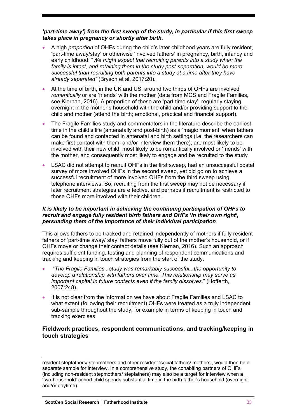#### *'part-time away') from the first sweep of the study, in particular if this first sweep takes place in pregnancy or shortly after birth.*

- A high *proportion* of OHFs during the child's later childhood years are fully resident, 'part-time away/stay' or otherwise 'involved fathers' in pregnancy, birth, infancy and early childhood: "*We might expect that recruiting parents into a study when the*  family is intact, and retaining them in the study post-separation, would be more *successful than recruiting both parents into a study at a time after they have already separated"* (Bryson et al, 2017:20).
- At the time of birth, in the UK and US, around two thirds of OHFs are involved *romantically* or are 'friends' with the mother (data from MCS and Fragile Families, see Kiernan, 2016). A proportion of these are 'part-time stay', regularly staying overnight in the mother's household with the child and/or providing support to the child and mother (attend the birth; emotional, practical and financial support).
- The Fragile Families study and commentators in the literature describe the earliest time in the child's life (antenatally and post-birth) as a 'magic moment' when fathers can be found and contacted in antenatal and birth settings (i.e. the researchers can make first contact with them, and/or interview them there); are most likely to be involved with their new child; most likely to be romantically involved or 'friends' with the mother, and consequently most likely to engage and be recruited to the study
- LSAC did not attempt to recruit OHFs in the first sweep, had an unsuccessful postal survey of more involved OHFs in the second sweep, yet did go on to achieve a successful recruitment of more involved OHFs from the third sweep using telephone interviews. So, recruiting from the first sweep may not be necessary if later recruitment strategies are effective, and perhaps if recruitment is restricted to those OHFs more involved with their children.

#### *It is likely to be important in achieving the continuing participation of OHFs to recruit and engage fully resident birth fathers and OHFs 'in their own right', persuading them of the importance of their individual participation.*

This allows fathers to be tracked and retained independently of mothers if fully resident fathers or 'part-time away/ stay' fathers move fully out of the mother's household, or if OHFs move or change their contact details (see Kiernan, 2016). Such an approach requires sufficient funding, testing and planning of respondent communications and tracking and keeping in touch strategies from the start of the study.

- "*The Fragile Families...study was remarkably successful...the opportunity to develop a relationship with fathers over time. This relationship may serve as important capital in future contacts even if the family dissolves.*" (Hofferth, 2007:248).
- It is not clear from the information we have about Fragile Families and LSAC to what extent (following their recruitment) OHFs were treated as a truly independent sub-sample throughout the study, for example in terms of keeping in touch and tracking exercises.

### **Fieldwork practices, respondent communications, and tracking/keeping in touch strategies**

resident stepfathers/ stepmothers and other resident 'social fathers/ mothers', would then be a separate sample for interview. In a comprehensive study, the cohabiting partners of OHFs (including non-resident stepmothers/ stepfathers) may also be a target for interview when a 'two-household' cohort child spends substantial time in the birth father's household (overnight and/or daytime).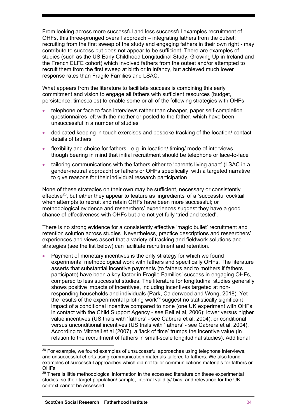From looking across more successful and less successful examples recruitment of OHFs, this three-pronged overall approach – integrating fathers from the outset; recruiting from the first sweep of the study and engaging fathers in their own right - may contribute to success but does not appear to be sufficient. There are examples of studies (such as the US Early Childhood Longitudinal Study, Growing Up in Ireland and the French ELFE cohort) which involved fathers from the outset and/or attempted to recruit them from the first sweep at birth or in infancy, but achieved much lower response rates than Fragile Families and LSAC.

What appears from the literature to facilitate success is combining this early commitment and vision to engage all fathers with sufficient resources (budget, persistence, timescales) to enable some or all of the following strategies with OHFs:

- telephone or face to face interviews rather than cheaper, paper self-completion questionnaires left with the mother or posted to the father, which have been unsuccessful in a number of studies
- dedicated keeping in touch exercises and bespoke tracking of the location/ contact details of fathers
- flexibility and choice for fathers e.g. in location/ timing/ mode of interviews  $$ though bearing in mind that initial recruitment should be telephone or face-to-face
- tailoring communications with the fathers either to 'parents living apart' (LSAC in a gender-neutral approach) or fathers or OHFs specifically, with a targeted narrative to give reasons for their individual research participation

None of these strategies on their own may be sufficient, necessary or consistently effective<sup>28</sup>, but either they appear to feature as 'ingredients' of a 'successful cocktail' when attempts to recruit and retain OHFs have been more successful; or methodological evidence and researchers' experiences suggest they have a good chance of effectiveness with OHFs but are not yet fully 'tried and tested'.

There is no strong evidence for a consistently effective 'magic bullet' recruitment and retention solution across studies. Nevertheless, practice descriptions and researchers' experiences and views assert that a variety of tracking and fieldwork solutions and strategies (see the list below) can facilitate recruitment and retention.

Payment of monetary incentives is the only strategy for which we found experimental methodological work with fathers and specifically OHFs. The literature asserts that substantial incentive payments (to fathers and to mothers if fathers participate) have been a key factor in Fragile Families' success in engaging OHFs, compared to less successful studies. The literature for longitudinal studies generally shows positive impacts of incentives, including incentives targeted at nonresponding households and individuals (Park, Calderwood and Wong, 2018). Yet the results of the experimental piloting work<sup>29</sup> suggest no statistically significant impact of a conditional incentive compared to none (one UK experiment with OHFs in contact with the Child Support Agency - see Bell et al, 2006); lower versus higher value incentives (US trials with 'fathers' - see Cabrera et al, 2004); or conditional versus unconditional incentives (US trials with 'fathers' - see Cabrera et al, 2004). According to Mitchell et al (2007), a 'lack of time' trumps the incentive value (in relation to the recruitment of fathers in small-scale longitudinal studies). Additional

 $28$  For example, we found examples of unsuccessful approaches using telephone interviews, and unsuccessful efforts using communication materials tailored to fathers. We also found examples of successful approaches which did not tailor communications materials for fathers or OHFs.

 $29$  There is little methodological information in the accessed literature on these experimental studies, so their target population/ sample, internal validity/ bias, and relevance for the UK context cannot be assessed.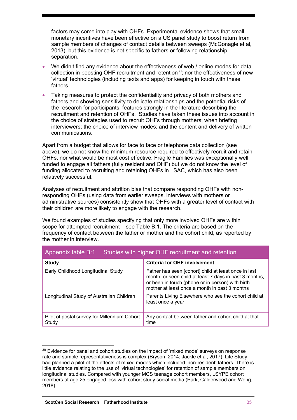factors may come into play with OHFs. Experimental evidence shows that small monetary incentives have been effective on a US panel study to boost return from sample members of changes of contact details between sweeps (McGonagle et al, 2013), but this evidence is not specific to fathers or following relationship separation.

- We didn't find any evidence about the effectiveness of web / online modes for data collection in boosting OHF recruitment and retention<sup>30</sup>; nor the effectiveness of new 'virtual' technologies (including texts and apps) for keeping in touch with these fathers*.*
- Taking measures to protect the confidentiality and privacy of both mothers and fathers and showing sensitivity to delicate relationships and the potential risks of the research for participants, features strongly in the literature describing the recruitment and retention of OHFs. Studies have taken these issues into account in the choice of strategies used to recruit OHFs through mothers; when briefing interviewers; the choice of interview modes; and the content and delivery of written communications.

Apart from a budget that allows for face to face or telephone data collection (see above), we do not know the minimum resource required to effectively recruit and retain OHFs, nor what would be most cost effective. Fragile Families was exceptionally well funded to engage all fathers (fully resident and OHF) but we do not know the level of funding allocated to recruiting and retaining OHFs in LSAC, which has also been relatively successful.

Analyses of recruitment and attrition bias that compare responding OHFs with nonresponding OHFs (using data from earlier sweeps, interviews with mothers or administrative sources) consistently show that OHFs with a greater level of contact with their children are more likely to engage with the research.

We found examples of studies specifying that only more involved OHFs are within scope for attempted recruitment – see Table B:1. The criteria are based on the frequency of contact between the father or mother and the cohort child, as reported by the mother in interview.

| <b>Study</b>                                          | <b>Criteria for OHF involvement</b>                                                                                                                                                                                 |
|-------------------------------------------------------|---------------------------------------------------------------------------------------------------------------------------------------------------------------------------------------------------------------------|
| Early Childhood Longitudinal Study                    | Father has seen [cohort] child at least once in last<br>month, or seen child at least 7 days in past 3 months,<br>or been in touch (phone or in person) with birth<br>mother at least once a month in past 3 months |
| Longitudinal Study of Australian Children             | Parents Living Elsewhere who see the cohort child at<br>least once a year                                                                                                                                           |
| Pilot of postal survey for Millennium Cohort<br>Study | Any contact between father and cohort child at that<br>time                                                                                                                                                         |

### Appendix table B:1 Studies with higher OHF recruitment and retention

 $30$  Evidence for panel and cohort studies on the impact of 'mixed mode' surveys on response rate and sample representativeness is complex (Bryson, 2014; Jackle et al, 2017). Life Study had planned a pilot of the effects of mixed modes which included 'non-resident' fathers. There is little evidence relating to the use of 'virtual technologies' for retention of sample members on longitudinal studies. Compared with younger MCS teenage cohort members, LSYPE cohort members at age 25 engaged less with cohort study social media (Park, Calderwood and Wong, 2018).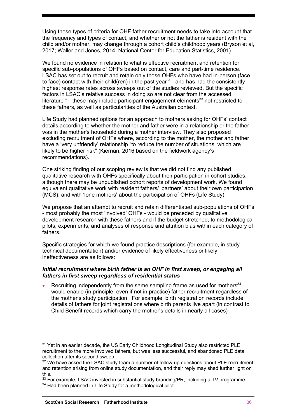Using these types of criteria for OHF father recruitment needs to take into account that the frequency and types of contact, and whether or not the father is resident with the child and/or mother, may change through a cohort child's childhood years (Bryson et al, 2017; Waller and Jones, 2014; National Center for Education Statistics, 2001).

We found no evidence in relation to what is effective recruitment and retention for specific sub-populations of OHFs based on contact, care and part-time residence. LSAC has set out to recruit and retain only those OHFs who have had in-person (face to face) contact with their child(ren) in the past year<sup>31</sup> - and has had the consistently highest response rates across sweeps out of the studies reviewed. But the specific factors in LSAC's relative success in doing so are not clear from the accessed literature<sup>32</sup> - these may include participant engagement elements<sup>33</sup> not restricted to these fathers, as well as particularities of the Australian context.

Life Study had planned options for an approach to mothers asking for OHFs' contact details according to whether the mother and father were in a relationship or the father was in the mother's household during a mother interview. They also proposed excluding recruitment of OHFs where, according to the mother, the mother and father have a 'very unfriendly' relationship "to reduce the number of situations, which are likely to be higher risk" (Kiernan, 2016 based on the fieldwork agency's recommendations).

One striking finding of our scoping review is that we did not find any published qualitative research with OHFs specifically about their participation in cohort studies, although there may be unpublished cohort reports of development work. We found equivalent qualitative work with resident fathers/ 'partners' about their own participation (MCS), and with 'lone mothers' about the participation of OHFs (Life Study).

We propose that an attempt to recruit and retain differentiated sub-populations of OHFs - most probably the most 'involved' OHFs - would be preceded by qualitative development research with these fathers and if the budget stretched, to methodological pilots, experiments, and analyses of response and attrition bias within each category of fathers.

Specific strategies for which we found practice descriptions (for example, in study technical documentation) and/or evidence of likely effectiveness or likely ineffectiveness are as follows:

#### *Initial recruitment where birth father is an OHF in first sweep, or engaging all fathers in first sweep regardless of residential status*

Recruiting independently from the same sampling frame as used for mothers<sup>34</sup> would enable (in principle, even if not in practice) father recruitment regardless of the mother's study participation. For example, birth registration records include details of fathers for joint registrations where birth parents live apart (in contrast to Child Benefit records which carry the mother's details in nearly all cases)

<sup>&</sup>lt;sup>31</sup> Yet in an earlier decade, the US Early Childhood Longitudinal Study also restricted PLE recruitment to the more involved fathers, but was less successful, and abandoned PLE data collection after its second sweep.

 $32$  We have asked the LSAC study team a number of follow-up questions about PLE recruitment and retention arising from online study documentation, and their reply may shed further light on this.

<sup>&</sup>lt;sup>33</sup> For example, LSAC invested in substantial study branding/PR, including a TV programme.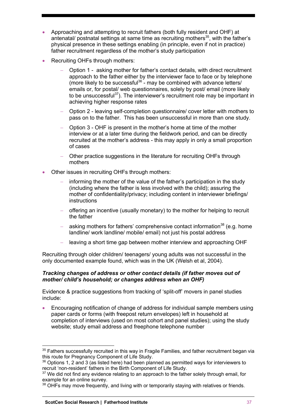- Approaching and attempting to recruit fathers (both fully resident and OHF) at antenatal/ postnatal settings at same time as recruiting mothers<sup>35</sup>, with the father's physical presence in these settings enabling (in principle, even if not in practice) father recruitment regardless of the mother's study participation
- Recruiting OHFs through mothers:
	- Option 1 asking mother for father's contact details, with direct recruitment approach to the father either by the interviewer face to face or by telephone (more likely to be successful<sup>36</sup> - may be combined with advance letters/ emails or, for postal/ web questionnaires, solely by post/ email (more likely to be unsuccessful $^{37}$ ). The interviewer's recruitment role may be important in achieving higher response rates
	- Option 2 leaving self-completion questionnaire/ cover letter with mothers to pass on to the father. This has been unsuccessful in more than one study.
	- Option 3 OHF is present in the mother's home at time of the mother interview or at a later time during the fieldwork period, and can be directly recruited at the mother's address - this may apply in only a small proportion of cases
	- Other practice suggestions in the literature for recruiting OHFs through mothers
- Other issues in recruiting OHFs through mothers:
	- informing the mother of the value of the father's participation in the study (including where the father is less involved with the child); assuring the mother of confidentiality/privacy; including content in interviewer briefings/ instructions
	- offering an incentive (usually monetary) to the mother for helping to recruit the father
	- asking mothers for fathers' comprehensive contact information<sup>38</sup> (e.g. home landline/ work landline/ mobile/ email) not just his postal address
	- $-$  leaving a short time gap between mother interview and approaching OHF

Recruiting through older children/ teenagers/ young adults was not successful in the only documented example found, which was in the UK (Welsh et al, 2004).

#### *Tracking changes of address or other contact details (if father moves out of mother/ child's household; or changes address when an OHF)*

Evidence & practice suggestions from tracking of 'split-off' movers in panel studies include:

• Encouraging notification of change of address for individual sample members using paper cards or forms (with freepost return envelopes) left in household at completion of interviews (used on most cohort and panel studies); using the study website; study email address and freephone telephone number

<sup>&</sup>lt;sup>35</sup> Fathers successfully recruited in this way in Fragile Families, and father recruitment began via this route for Pregnancy Component of Life Study.

 $36$  Options 1, 2 and 3 (as listed here) had been planned as permitted ways for interviewers to recruit 'non-resident' fathers in the Birth Component of Life Study.

 $37$  We did not find any evidence relating to an approach to the father solely through email, for example for an online survey.

<sup>&</sup>lt;sup>38</sup> OHFs may move frequently, and living with or temporarily staying with relatives or friends.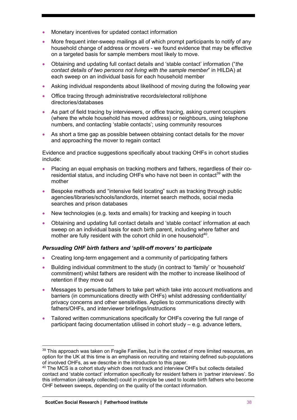- Monetary incentives for updated contact information
- More frequent inter-sweep mailings all of which prompt participants to notify of any household change of address or movers - we found evidence that may be effective on a targeted basis for sample members most likely to move.
- Obtaining and updating full contact details and 'stable contact' information ("*the contact details of two persons not living with the sample member*" in HILDA) at each sweep on an individual basis for each household member
- Asking individual respondents about likelihood of moving during the following year
- Office tracing through administrative records/electoral roll/phone directories/databases
- As part of field tracing by interviewers, or office tracing, asking current occupiers (where the whole household has moved address) or neighbours, using telephone numbers, and contacting 'stable contacts'; using community resources
- As short a time gap as possible between obtaining contact details for the mover and approaching the mover to regain contact

Evidence and practice suggestions specifically about tracking OHFs in cohort studies include:

- Placing an equal emphasis on tracking mothers and fathers, regardless of their coresidential status, and including OHFs who have not been in contact<sup>39</sup> with the mother
- Bespoke methods and "intensive field locating" such as tracking through public agencies/libraries/schools/landlords, internet search methods, social media searches and prison databases
- New technologies (e.g. texts and emails) for tracking and keeping in touch
- Obtaining and updating full contact details and 'stable contact' information at each sweep on an individual basis for each birth parent, including where father and mother are fully resident with the cohort child in one household<sup>40</sup>.

### *Persuading OHF birth fathers and 'split-off movers' to participate*

- Creating long-term engagement and a community of participating fathers
- Building individual commitment to the study (in contract to 'family' or 'household' commitment) whilst fathers are resident with the mother to increase likelihood of retention if they move out
- Messages to persuade fathers to take part which take into account motivations and barriers (in communications directly with OHFs) whilst addressing confidentiality/ privacy concerns and other sensitivities. Applies to communications directly with fathers/OHFs, and interviewer briefings/instructions
- Tailored written communications specifically for OHFs covering the full range of participant facing documentation utilised in cohort study – e.g. advance letters,

<sup>&</sup>lt;sup>39</sup> This approach was taken on Fragile Families, but in the context of more limited resources, an option for the UK at this time is an emphasis on recruiting and retaining defined sub-populations of involved OHFs, as we describe in the introduction to this paper.

<sup>&</sup>lt;sup>40</sup> The MCS is a cohort study which does not track and interview OHFs but collects detailed contact and 'stable contact' information specifically for resident fathers in 'partner interviews'. So this information (already collected) could in principle be used to locate birth fathers who become OHF between sweeps, depending on the quality of the contact information.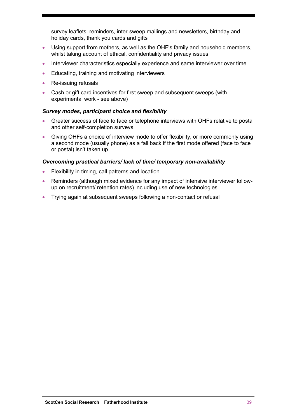survey leaflets, reminders, inter-sweep mailings and newsletters, birthday and holiday cards, thank you cards and gifts

- Using support from mothers, as well as the OHF's family and household members, whilst taking account of ethical, confidentiality and privacy issues
- Interviewer characteristics especially experience and same interviewer over time
- Educating, training and motivating interviewers
- Re-issuing refusals
- Cash or gift card incentives for first sweep and subsequent sweeps (with experimental work - see above)

#### *Survey modes, participant choice and flexibility*

- Greater success of face to face or telephone interviews with OHFs relative to postal and other self-completion surveys
- Giving OHFs a choice of interview mode to offer flexibility, or more commonly using a second mode (usually phone) as a fall back if the first mode offered (face to face or postal) isn't taken up

#### *Overcoming practical barriers/ lack of time/ temporary non-availability*

- Flexibility in timing, call patterns and location
- Reminders (although mixed evidence for any impact of intensive interviewer followup on recruitment/ retention rates) including use of new technologies
- Trying again at subsequent sweeps following a non-contact or refusal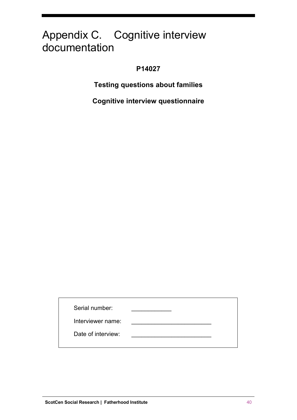## Appendix C. Cognitive interview documentation

## **P14027**

**Testing questions about families**

**Cognitive interview questionnaire**

| Serial number:     |  |
|--------------------|--|
| Interviewer name:  |  |
| Date of interview: |  |
|                    |  |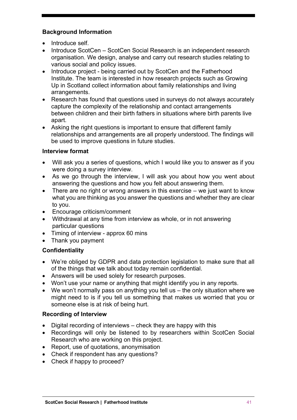## **Background Information**

- Introduce self.
- Introduce ScotCen ScotCen Social Research is an independent research organisation. We design, analyse and carry out research studies relating to various social and policy issues.
- Introduce project being carried out by ScotCen and the Fatherhood Institute. The team is interested in how research projects such as Growing Up in Scotland collect information about family relationships and living arrangements.
- Research has found that questions used in surveys do not always accurately capture the complexity of the relationship and contact arrangements between children and their birth fathers in situations where birth parents live apart.
- Asking the right questions is important to ensure that different family relationships and arrangements are all properly understood. The findings will be used to improve questions in future studies.

## **Interview format**

- Will ask you a series of questions, which I would like you to answer as if you were doing a survey interview.
- As we go through the interview, I will ask you about how you went about answering the questions and how you felt about answering them.
- There are no right or wrong answers in this exercise we just want to know what you are thinking as you answer the questions and whether they are clear to you.
- Encourage criticism/comment
- Withdrawal at any time from interview as whole, or in not answering particular questions
- Timing of interview approx 60 mins
- Thank you payment

## **Confidentiality**

- We're obliged by GDPR and data protection legislation to make sure that all of the things that we talk about today remain confidential.
- Answers will be used solely for research purposes.
- Won't use your name or anything that might identify you in any reports.
- We won't normally pass on anything you tell us the only situation where we might need to is if you tell us something that makes us worried that you or someone else is at risk of being hurt.

## **Recording of Interview**

- Digital recording of interviews check they are happy with this
- Recordings will only be listened to by researchers within ScotCen Social Research who are working on this project.
- Report, use of quotations, anonymisation
- Check if respondent has any questions?
- Check if happy to proceed?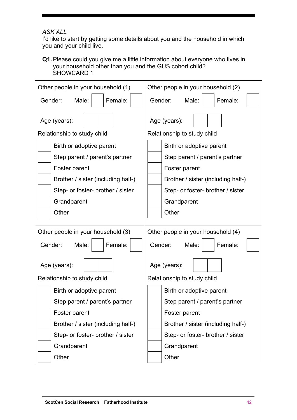I'd like to start by getting some details about you and the household in which you and your child live.

**Q1.**Please could you give me a little information about everyone who lives in your household other than you and the GUS cohort child? SHOWCARD 1

| Other people in your household (1)                                | Other people in your household (2)                                |
|-------------------------------------------------------------------|-------------------------------------------------------------------|
| Male:<br>Gender:<br>Female:                                       | Gender:<br>Male:<br>Female:                                       |
| Age (years):                                                      | Age (years):                                                      |
| Relationship to study child                                       | Relationship to study child                                       |
| Birth or adoptive parent                                          | Birth or adoptive parent                                          |
| Step parent / parent's partner                                    | Step parent / parent's partner                                    |
| Foster parent                                                     | Foster parent                                                     |
| Brother / sister (including half-)                                | Brother / sister (including half-)                                |
| Step- or foster- brother / sister                                 | Step- or foster- brother / sister                                 |
| Grandparent                                                       | Grandparent                                                       |
| Other                                                             | Other                                                             |
| Other people in your household (3)<br>Gender:<br>Female:<br>Male: | Other people in your household (4)<br>Female:<br>Gender:<br>Male: |
| Age (years):                                                      | Age (years):                                                      |
| Relationship to study child                                       | Relationship to study child                                       |
| Birth or adoptive parent                                          | Birth or adoptive parent                                          |
| Step parent / parent's partner                                    | Step parent / parent's partner                                    |
| Foster parent                                                     | Foster parent                                                     |
| Brother / sister (including half-)                                | Brother / sister (including half-)                                |
| Step- or foster- brother / sister                                 | Step- or foster- brother / sister                                 |
| Grandparent                                                       | Grandparent                                                       |
| Other                                                             | Other                                                             |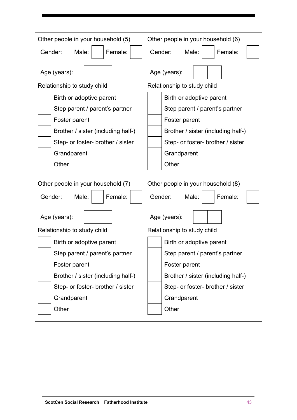| Male:<br>Gender:<br>Female:<br>Gender:<br>Female:<br>Male:<br>Age (years):<br>Age (years):<br>Relationship to study child<br>Relationship to study child<br>Birth or adoptive parent<br>Birth or adoptive parent<br>Step parent / parent's partner<br>Step parent / parent's partner<br>Foster parent<br>Foster parent<br>Brother / sister (including half-)<br>Brother / sister (including half-)<br>Step- or foster- brother / sister<br>Step- or foster- brother / sister<br>Grandparent<br>Grandparent<br>Other<br>Other<br>Other people in your household (7)<br>Other people in your household (8)<br>Gender:<br>Male:<br>Female:<br>Gender:<br>Female:<br>Male:<br>Age (years):<br>Age (years):<br>Relationship to study child<br>Relationship to study child<br>Birth or adoptive parent<br>Birth or adoptive parent<br>Step parent / parent's partner<br>Step parent / parent's partner<br>Foster parent<br>Foster parent<br>Brother / sister (including half-)<br>Brother / sister (including half-)<br>Step- or foster- brother / sister<br>Step- or foster- brother / sister | Other people in your household (5) | Other people in your household (6) |
|------------------------------------------------------------------------------------------------------------------------------------------------------------------------------------------------------------------------------------------------------------------------------------------------------------------------------------------------------------------------------------------------------------------------------------------------------------------------------------------------------------------------------------------------------------------------------------------------------------------------------------------------------------------------------------------------------------------------------------------------------------------------------------------------------------------------------------------------------------------------------------------------------------------------------------------------------------------------------------------------------------------------------------------------------------------------------------------|------------------------------------|------------------------------------|
|                                                                                                                                                                                                                                                                                                                                                                                                                                                                                                                                                                                                                                                                                                                                                                                                                                                                                                                                                                                                                                                                                          |                                    |                                    |
|                                                                                                                                                                                                                                                                                                                                                                                                                                                                                                                                                                                                                                                                                                                                                                                                                                                                                                                                                                                                                                                                                          |                                    |                                    |
|                                                                                                                                                                                                                                                                                                                                                                                                                                                                                                                                                                                                                                                                                                                                                                                                                                                                                                                                                                                                                                                                                          |                                    |                                    |
|                                                                                                                                                                                                                                                                                                                                                                                                                                                                                                                                                                                                                                                                                                                                                                                                                                                                                                                                                                                                                                                                                          |                                    |                                    |
|                                                                                                                                                                                                                                                                                                                                                                                                                                                                                                                                                                                                                                                                                                                                                                                                                                                                                                                                                                                                                                                                                          |                                    |                                    |
|                                                                                                                                                                                                                                                                                                                                                                                                                                                                                                                                                                                                                                                                                                                                                                                                                                                                                                                                                                                                                                                                                          |                                    |                                    |
|                                                                                                                                                                                                                                                                                                                                                                                                                                                                                                                                                                                                                                                                                                                                                                                                                                                                                                                                                                                                                                                                                          |                                    |                                    |
|                                                                                                                                                                                                                                                                                                                                                                                                                                                                                                                                                                                                                                                                                                                                                                                                                                                                                                                                                                                                                                                                                          |                                    |                                    |
|                                                                                                                                                                                                                                                                                                                                                                                                                                                                                                                                                                                                                                                                                                                                                                                                                                                                                                                                                                                                                                                                                          |                                    |                                    |
|                                                                                                                                                                                                                                                                                                                                                                                                                                                                                                                                                                                                                                                                                                                                                                                                                                                                                                                                                                                                                                                                                          |                                    |                                    |
|                                                                                                                                                                                                                                                                                                                                                                                                                                                                                                                                                                                                                                                                                                                                                                                                                                                                                                                                                                                                                                                                                          |                                    |                                    |
|                                                                                                                                                                                                                                                                                                                                                                                                                                                                                                                                                                                                                                                                                                                                                                                                                                                                                                                                                                                                                                                                                          |                                    |                                    |
|                                                                                                                                                                                                                                                                                                                                                                                                                                                                                                                                                                                                                                                                                                                                                                                                                                                                                                                                                                                                                                                                                          |                                    |                                    |
|                                                                                                                                                                                                                                                                                                                                                                                                                                                                                                                                                                                                                                                                                                                                                                                                                                                                                                                                                                                                                                                                                          |                                    |                                    |
|                                                                                                                                                                                                                                                                                                                                                                                                                                                                                                                                                                                                                                                                                                                                                                                                                                                                                                                                                                                                                                                                                          |                                    |                                    |
|                                                                                                                                                                                                                                                                                                                                                                                                                                                                                                                                                                                                                                                                                                                                                                                                                                                                                                                                                                                                                                                                                          |                                    |                                    |
|                                                                                                                                                                                                                                                                                                                                                                                                                                                                                                                                                                                                                                                                                                                                                                                                                                                                                                                                                                                                                                                                                          |                                    |                                    |
|                                                                                                                                                                                                                                                                                                                                                                                                                                                                                                                                                                                                                                                                                                                                                                                                                                                                                                                                                                                                                                                                                          |                                    |                                    |
|                                                                                                                                                                                                                                                                                                                                                                                                                                                                                                                                                                                                                                                                                                                                                                                                                                                                                                                                                                                                                                                                                          |                                    |                                    |
|                                                                                                                                                                                                                                                                                                                                                                                                                                                                                                                                                                                                                                                                                                                                                                                                                                                                                                                                                                                                                                                                                          |                                    |                                    |
| Grandparent<br>Grandparent                                                                                                                                                                                                                                                                                                                                                                                                                                                                                                                                                                                                                                                                                                                                                                                                                                                                                                                                                                                                                                                               |                                    |                                    |
| Other<br>Other                                                                                                                                                                                                                                                                                                                                                                                                                                                                                                                                                                                                                                                                                                                                                                                                                                                                                                                                                                                                                                                                           |                                    |                                    |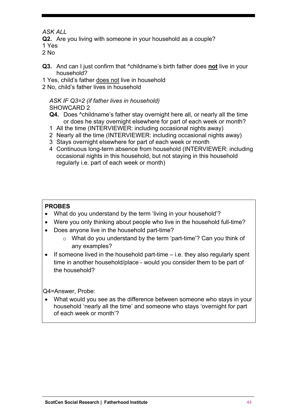**Q2.** Are you living with someone in your household as a couple?

1 Yes

2 No

- **Q3.** And can I just confirm that ^childname's birth father does **not** live in your household?
- 1 Yes, child's father does not live in household
- 2 No, child's father lives in household

### *ASK IF Q3=2 (if father lives in household)* SHOWCARD 2

- **Q4.** Does ^childname's father stay overnight here all, or nearly all the time or does he stay overnight elsewhere for part of each week or month?
- 1 All the time (INTERVIEWER: including occasional nights away)
- 2 Nearly all the time (INTERVIEWER: including occasional nights away)
- 3 Stays overnight elsewhere for part of each week or month
- 4 Continuous long-term absence from household (INTERVIEWER: including occasional nights in this household, but not staying in this household regularly i.e. part of each week or month)

## **PROBES**

- What do you understand by the term 'living in your household'?
- Were you only thinking about people who live in the household full-time?
- Does anyone live in the household part-time?
	- o What do you understand by the term 'part-time'? Can you think of any examples?
- $\bullet$  If someone lived in the household part-time  $-$  i.e. they also regularly spent time in another household/place - would you consider them to be part of the household?

Q4=Answer, Probe:

• What would you see as the difference between someone who stays in your household 'nearly all the time' and someone who stays 'overnight for part of each week or month'?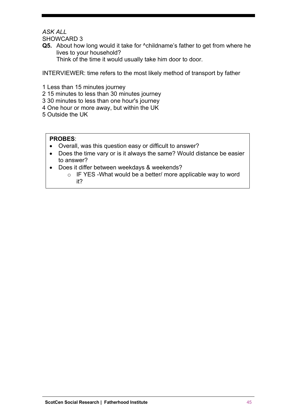SHOWCARD 3

**Q5.** About how long would it take for ^childname's father to get from where he lives to your household? Think of the time it would usually take him door to door.

INTERVIEWER: time refers to the most likely method of transport by father

- 1 Less than 15 minutes journey
- 2 15 minutes to less than 30 minutes journey
- 3 30 minutes to less than one hour's journey
- 4 One hour or more away, but within the UK
- 5 Outside the UK

- Overall, was this question easy or difficult to answer?
- Does the time vary or is it always the same? Would distance be easier to answer?
- Does it differ between weekdays & weekends?
	- o IF YES -What would be a better/ more applicable way to word it?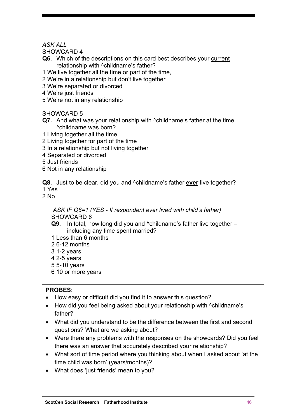SHOWCARD 4

- **Q6.** Which of the descriptions on this card best describes your current relationship with ^childname's father?
- 1 We live together all the time or part of the time,
- 2 We're in a relationship but don't live together
- 3 We're separated or divorced
- 4 We're just friends
- 5 We're not in any relationship

SHOWCARD 5

- **Q7.** And what was your relationship with ^childname's father at the time ^childname was born?
- 1 Living together all the time
- 2 Living together for part of the time
- 3 In a relationship but not living together
- 4 Separated or divorced
- 5 Just friends
- 6 Not in any relationship

**Q8.** Just to be clear, did you and ^childname's father **ever** live together? 1 Yes

2 No

*ASK IF Q8=1 (YES - If respondent ever lived with child's father)* SHOWCARD 6

- **Q9.** In total, how long did you and ^childname's father live together including any time spent married?
- 1 Less than 6 months
- 2 6-12 months
- 3 1-2 years
- 4 2-5 years
- 5 5-10 years
- 6 10 or more years

- How easy or difficult did you find it to answer this question?
- How did you feel being asked about your relationship with ^childname's father?
- What did you understand to be the difference between the first and second questions? What are we asking about?
- Were there any problems with the responses on the showcards? Did you feel there was an answer that accurately described your relationship?
- What sort of time period where you thinking about when I asked about 'at the time child was born' (years/months)?
- What does 'just friends' mean to you?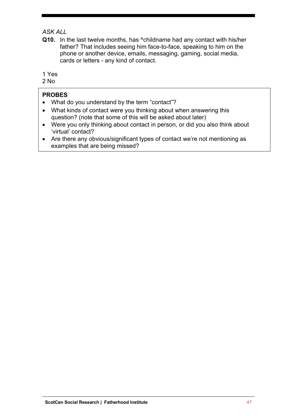**Q10.** In the last twelve months, has ^childname had any contact with his/her father? That includes seeing him face-to-face, speaking to him on the phone or another device, emails, messaging, gaming, social media, cards or letters - any kind of contact.

1 Yes

2 No

- What do you understand by the term "contact"?
- What kinds of contact were you thinking about when answering this question? (note that some of this will be asked about later)
- Were you only thinking about contact in person, or did you also think about 'virtual' contact?
- Are there any obvious/significant types of contact we're not mentioning as examples that are being missed?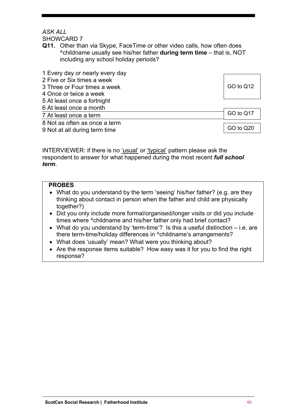SHOWCARD 7

**Q11.** Other than via Skype, FaceTime or other video calls, how often does ^childname usually see his/her father **during term time** – that is, NOT including any school holiday periods?

| 1 Every day or nearly every day |           |
|---------------------------------|-----------|
| 2 Five or Six times a week      |           |
| 3 Three or Four times a week    | GO to Q12 |
| 4 Once or twice a week          |           |
| 5 At least once a fortnight     |           |
| 6 At least once a month         |           |
| 7 At least once a term          | GO to Q17 |
| 8 Not as often as once a term   |           |
| 9 Not at all during term time   | GO to Q20 |

INTERVIEWER: if there is no 'usual' or 'typical' pattern please ask the respondent to answer for what happened during the most recent *full school term*.

- What do you understand by the term 'seeing' his/her father? (e.g. are they thinking about contact in person when the father and child are physically together?)
- Did you only include more formal/organised/longer visits or did you include times where ^childname and his/her father only had brief contact?
- What do you understand by 'term-time'? Is this a useful distinction i.e. are there term-time/holiday differences in ^childname's arrangements?
- What does 'usually' mean? What were you thinking about?
- Are the response items suitable? How easy was it for you to find the right response?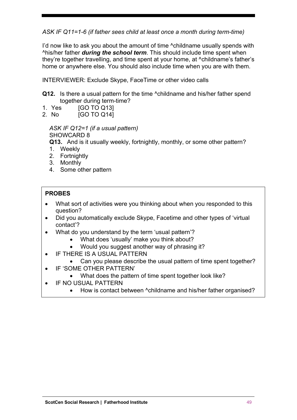*ASK IF Q11=1-6 (if father sees child at least once a month during term-time)*

I'd now like to ask you about the amount of time ^childname usually spends with ^his/her father *during the school term*. This should include time spent when they're together travelling, and time spent at your home, at ^childname's father's home or anywhere else. You should also include time when you are with them.

INTERVIEWER: Exclude Skype, FaceTime or other video calls

- **Q12.** Is there a usual pattern for the time  $\alpha$ -childname and his/her father spend together during term-time?
- 1. Yes **[GO TO Q13]**
- 2. No [GO TO Q14]

### *ASK IF Q12=1 (if a usual pattern)* SHOWCARD 8

**Q13.** And is it usually weekly, fortnightly, monthly, or some other pattern?

- 1. Weekly
- 2. Fortnightly
- 3. Monthly
- 4. Some other pattern

- What sort of activities were you thinking about when you responded to this question?
- Did you automatically exclude Skype, Facetime and other types of 'virtual contact'?
- What do you understand by the term 'usual pattern'?
	- What does 'usually' make you think about?
	- Would you suggest another way of phrasing it?
- IF THERE IS A USUAL PATTERN
- Can you please describe the usual pattern of time spent together?
- IF 'SOME OTHER PATTERN'
	- What does the pattern of time spent together look like?
- IF NO USUAL PATTERN
	- How is contact between ^childname and his/her father organised?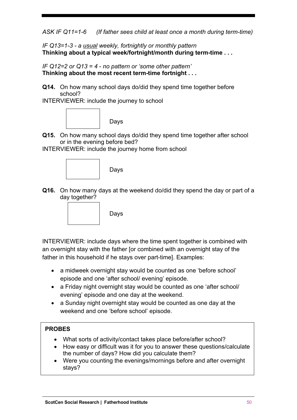*ASK IF Q11=1-6 (If father sees child at least once a month during term-time)*

*IF Q13=1-3 - a usual weekly, fortnightly or monthly pattern* **Thinking about a typical week/fortnight/month during term-time . . .**

*IF Q12=2 or Q13 = 4* - *no pattern or 'some other pattern'* **Thinking about the most recent term-time fortnight . . .** 

**Q14.** On how many school days do/did they spend time together before school?

INTERVIEWER: include the journey to school



**Q15.** On how many school days do/did they spend time together after school or in the evening before bed?

INTERVIEWER: include the journey home from school



**Q16.** On how many days at the weekend do/did they spend the day or part of a day together?



INTERVIEWER: include days where the time spent together is combined with an overnight stay with the father [or combined with an overnight stay of the father in this household if he stays over part-time]. Examples:

- a midweek overnight stay would be counted as one 'before school' episode and one 'after school/ evening' episode.
- a Friday night overnight stay would be counted as one 'after school/ evening' episode and one day at the weekend.
- a Sunday night overnight stay would be counted as one day at the weekend and one 'before school' episode.

- What sorts of activity/contact takes place before/after school?
- How easy or difficult was it for you to answer these questions/calculate the number of days? How did you calculate them?
- Were you counting the evenings/mornings before and after overnight stays?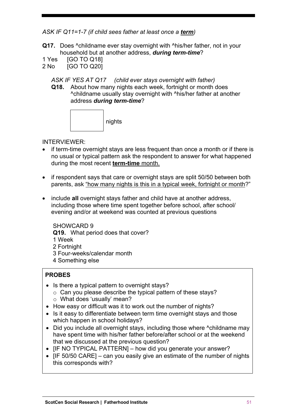*ASK IF Q11=1-7 (if child sees father at least once a term)*

- **Q17.** Does ^childname ever stay overnight with ^his/her father, not in your household but at another address, *during term-time*?
- 1 Yes [GO TO Q18]
- 2 No [GO TO Q20]

*ASK IF YES AT Q17 (child ever stays overnight with father)*

**Q18.** About how many nights each week, fortnight or month does ^childname usually stay overnight with ^his/her father at another address *during term-time*?

### INTERVIEWER:

- if term-time overnight stays are less frequent than once a month or if there is no usual or typical pattern ask the respondent to answer for what happened during the most recent **term-time** month.
- if respondent says that care or overnight stays are split 50/50 between both parents, ask "how many nights is this in a typical week, fortnight or month?"
- include **all** overnight stays father and child have at another address, including those where time spent together before school, after school/ evening and/or at weekend was counted at previous questions

SHOWCARD 9

**Q19.** What period does that cover?

1 Week

- 2 Fortnight
- 3 Four-weeks/calendar month
- 4 Something else

- Is there a typical pattern to overnight stays?
	- o Can you please describe the typical pattern of these stays? o What does 'usually' mean?
- How easy or difficult was it to work out the number of nights?
- Is it easy to differentiate between term time overnight stays and those which happen in school holidays?
- Did you include all overnight stays, including those where ^childname may have spent time with his/her father before/after school or at the weekend that we discussed at the previous question?
- **IF NO TYPICAL PATTERNI** how did you generate your answer?
- [IF 50/50 CARE] can you easily give an estimate of the number of nights this corresponds with?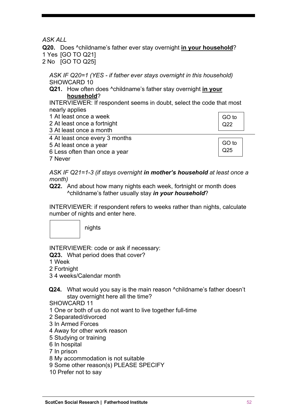**Q20.** Does ^childname's father ever stay overnight **in your household**? 1 Yes [GO TO Q21]

2 No [GO TO Q25]

*ASK IF Q20=1 (YES - if father ever stays overnight in this household)* SHOWCARD 10

**Q21.** How often does ^childname's father stay overnight **in your household**?

INTERVIEWER: If respondent seems in doubt, select the code that most nearly applies

|  | _____ |  |                        |  |
|--|-------|--|------------------------|--|
|  |       |  | 1 At least once a week |  |
|  |       |  |                        |  |
|  |       |  |                        |  |

2 At least once a fortnight

GO to Q22

| 3 At least once a month        |               |
|--------------------------------|---------------|
| 4 At least once every 3 months |               |
| 5 At least once a year         | $\vert$ GO to |
| 6 Less often than once a year  | Q25           |
|                                |               |

7 Never

*ASK IF Q21=1-3 (if stays overnight in mother's household at least once a month)*

**Q22.** And about how many nights each week, fortnight or month does ^childname's father usually stay *in your household*?

INTERVIEWER: if respondent refers to weeks rather than nights, calculate number of nights and enter here.



nights

INTERVIEWER: code or ask if necessary:

**Q23.** What period does that cover?

- 1 Week
- 2 Fortnight
- 3 4 weeks/Calendar month
- **Q24.** What would you say is the main reason *A*childname's father doesn't stay overnight here all the time?

SHOWCARD 11

- 1 One or both of us do not want to live together full-time
- 2 Separated/divorced
- 3 In Armed Forces
- 4 Away for other work reason
- 5 Studying or training
- 6 In hospital
- 7 In prison

8 My accommodation is not suitable

- 9 Some other reason(s) PLEASE SPECIFY
- 10 Prefer not to say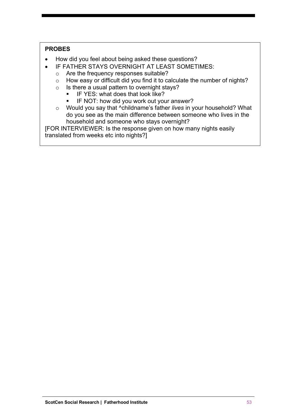## **PROBES**

- How did you feel about being asked these questions?
- IF FATHER STAYS OVERNIGHT AT LEAST SOMETIMES:
	- o Are the frequency responses suitable?
	- o How easy or difficult did you find it to calculate the number of nights?
	- o Is there a usual pattern to overnight stays?
		- IF YES: what does that look like?
		- § IF NOT: how did you work out your answer?
	- o Would you say that ^childname's father *lives* in your household? What do you see as the main difference between someone who lives in the household and someone who stays overnight?

[FOR INTERVIEWER: Is the response given on how many nights easily translated from weeks etc into nights?]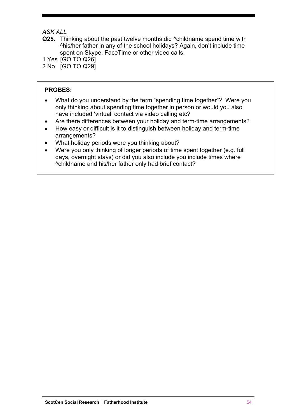- **Q25.** Thinking about the past twelve months did <sup>^</sup>childname spend time with ^his/her father in any of the school holidays? Again, don't include time spent on Skype, FaceTime or other video calls.
- 1 Yes [GO TO Q26]
- 2 No [GO TO Q29]

- What do you understand by the term "spending time together"? Were you only thinking about spending time together in person or would you also have included 'virtual' contact via video calling etc?
- Are there differences between your holiday and term-time arrangements?
- How easy or difficult is it to distinguish between holiday and term-time arrangements?
- What holiday periods were you thinking about?
- Were you only thinking of longer periods of time spent together (e.g. full days, overnight stays) or did you also include you include times where ^childname and his/her father only had brief contact?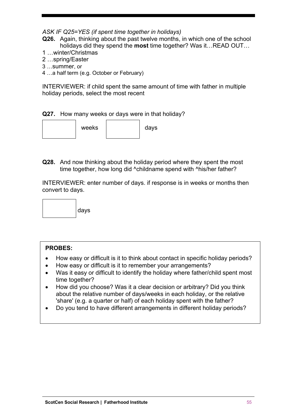*ASK IF Q25=YES (if spent time together in holidays)*

- **Q26.** Again, thinking about the past twelve months, in which one of the school holidays did they spend the **most** time together? Was it…READ OUT…
- 1 …winter/Christmas
- 2 …spring/Easter
- 3 …summer, or
- 4 …a half term (e.g. October or February)

INTERVIEWER: if child spent the same amount of time with father in multiple holiday periods, select the most recent

### **Q27.** How many weeks or days were in that holiday?



**Q28.** And now thinking about the holiday period where they spent the most time together, how long did ^childname spend with ^his/her father?

INTERVIEWER: enter number of days. if response is in weeks or months then convert to days.



- How easy or difficult is it to think about contact in specific holiday periods?
- How easy or difficult is it to remember your arrangements?
- Was it easy or difficult to identify the holiday where father/child spent most time together?
- How did you choose? Was it a clear decision or arbitrary? Did you think about the relative number of days/weeks in each holiday, or the relative 'share' (e.g. a quarter or half) of each holiday spent with the father?
- Do you tend to have different arrangements in different holiday periods?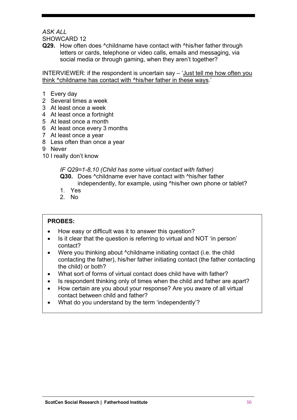SHOWCARD 12

**Q29.** How often does *^childname have contact with ^his/her father through* letters or cards, telephone or video calls, emails and messaging, via social media or through gaming, when they aren't together?

INTERVIEWER: if the respondent is uncertain say – 'Just tell me how often you think ^childname has contact with ^his/her father in these ways.'

- 1 Every day
- 2 Several times a week
- 3 At least once a week
- 4 At least once a fortnight
- 5 At least once a month
- 6 At least once every 3 months
- 7 At least once a year
- 8 Less often than once a year
- 9 Never
- 10 I really don't know

*IF Q29=1-8,10 (Child has some virtual contact with father)* **Q30.** Does ^childname ever have contact with ^his/her father

- independently, for example, using ^his/her own phone or tablet?
- 1. Yes
- 2. No

- How easy or difficult was it to answer this question?
- Is it clear that the question is referring to virtual and NOT 'in person' contact?
- Were you thinking about ^childname initiating contact (i.e. the child contacting the father), his/her father initiating contact (the father contacting the child) or both?
- What sort of forms of virtual contact does child have with father?
- Is respondent thinking only of times when the child and father are apart?
- How certain are you about your response? Are you aware of all virtual contact between child and father?
- What do you understand by the term 'independently'?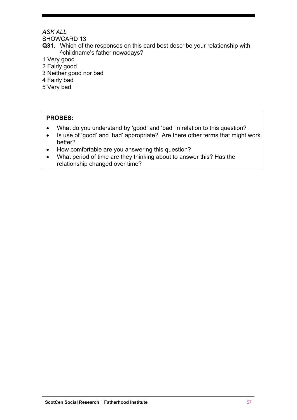## SHOWCARD 13

- **Q31.** Which of the responses on this card best describe your relationship with ^childname's father nowadays?
- 1 Very good
- 2 Fairly good
- 3 Neither good nor bad
- 4 Fairly bad
- 5 Very bad

- What do you understand by 'good' and 'bad' in relation to this question?
- Is use of 'good' and 'bad' appropriate? Are there other terms that might work better?
- How comfortable are you answering this question?
- What period of time are they thinking about to answer this? Has the relationship changed over time?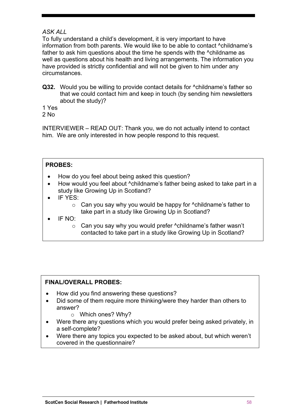To fully understand a child's development, it is very important to have information from both parents. We would like to be able to contact ^childname's father to ask him questions about the time he spends with the <sup>A</sup>childname as well as questions about his health and living arrangements. The information you have provided is strictly confidential and will not be given to him under any circumstances.

**Q32.** Would you be willing to provide contact details for ^childname's father so that we could contact him and keep in touch (by sending him newsletters about the study)?

1 Yes

2 No

INTERVIEWER – READ OUT: Thank you, we do not actually intend to contact him. We are only interested in how people respond to this request.

## **PROBES:**

- How do you feel about being asked this question?
- How would you feel about ^childname's father being asked to take part in a study like Growing Up in Scotland?
- IF YES:
	- $\circ$  Can you say why you would be happy for  $\circ$ childname's father to take part in a study like Growing Up in Scotland?
- IF NO:
	- o Can you say why you would prefer ^childname's father wasn't contacted to take part in a study like Growing Up in Scotland?

## **FINAL/OVERALL PROBES:**

- How did you find answering these questions?
- Did some of them require more thinking/were they harder than others to answer?
	- o Which ones? Why?
- Were there any questions which you would prefer being asked privately, in a self-complete?
- Were there any topics you expected to be asked about, but which weren't covered in the questionnaire?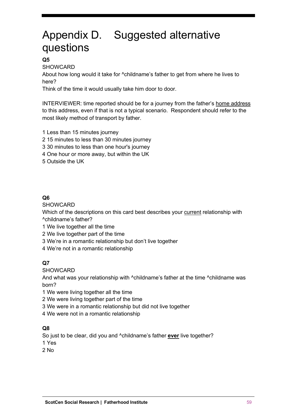## Appendix D. Suggested alternative questions

### **Q5**

#### **SHOWCARD**

About how long would it take for ^childname's father to get from where he lives to here?

Think of the time it would usually take him door to door.

INTERVIEWER: time reported should be for a journey from the father's home address to this address, even if that is not a typical scenario. Respondent should refer to the most likely method of transport by father.

- 1 Less than 15 minutes journey
- 2 15 minutes to less than 30 minutes journey
- 3 30 minutes to less than one hour's journey
- 4 One hour or more away, but within the UK
- 5 Outside the UK

#### **Q6**

#### **SHOWCARD**

Which of the descriptions on this card best describes your current relationship with ^childname's father?

- 1 We live together all the time
- 2 We live together part of the time
- 3 We're in a romantic relationship but don't live together
- 4 We're not in a romantic relationship

### **Q7**

#### **SHOWCARD**

And what was your relationship with ^childname's father at the time ^childname was born?

1 We were living together all the time

- 2 We were living together part of the time
- 3 We were in a romantic relationship but did not live together
- 4 We were not in a romantic relationship

#### **Q8**

So just to be clear, did you and ^childname's father **ever** live together?

1 Yes

2 No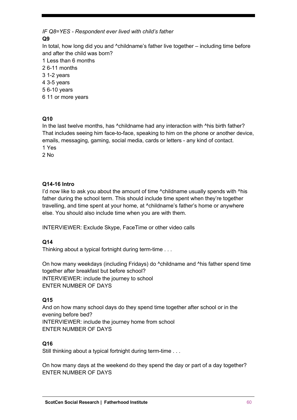*IF Q8=YES - Respondent ever lived with child's father*

## **Q9**

In total, how long did you and ^childname's father live together – including time before and after the child was born?

- 1 Less than 6 months
- 2 6-11 months
- 3 1-2 years
- 4 3-5 years
- 5 6-10 years
- 6 11 or more years

## **Q10**

In the last twelve months, has  $\Delta$ childname had any interaction with  $\Delta$ his birth father? That includes seeing him face-to-face, speaking to him on the phone or another device, emails, messaging, gaming, social media, cards or letters - any kind of contact. 1 Yes

2 No

### **Q14-16 Intro**

I'd now like to ask you about the amount of time  $\Delta$ childname usually spends with  $\Delta$ his father during the school term. This should include time spent when they're together travelling, and time spent at your home, at ^childname's father's home or anywhere else. You should also include time when you are with them.

INTERVIEWER: Exclude Skype, FaceTime or other video calls

## **Q14**

Thinking about a typical fortnight during term-time . . .

On how many weekdays (including Fridays) do ^childname and ^his father spend time together after breakfast but before school? INTERVIEWER: include the journey to school ENTER NUMBER OF DAYS

## **Q15**

And on how many school days do they spend time together after school or in the evening before bed? INTERVIEWER: include the journey home from school ENTER NUMBER OF DAYS

## **Q16**

Still thinking about a typical fortnight during term-time . . .

On how many days at the weekend do they spend the day or part of a day together? ENTER NUMBER OF DAYS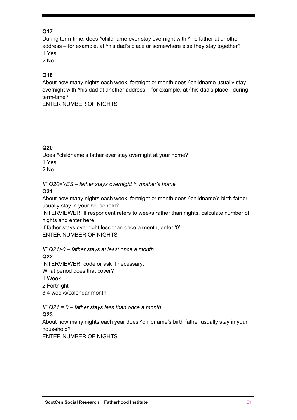## **Q17**

During term-time, does ^childname ever stay overnight with ^his father at another address – for example, at ^his dad's place or somewhere else they stay together? 1 Yes

2 No

## **Q18**

About how many nights each week, fortnight or month does ^childname usually stay overnight with ^his dad at another address – for example, at ^his dad's place - during term-time?

ENTER NUMBER OF NIGHTS

## **Q20**

Does ^childname's father ever stay overnight at your home? 1 Yes 2 No

*IF Q20=YES – father stays overnight in mother's home* 

## **Q21**

About how many nights each week, fortnight or month does ^childname's birth father usually stay in your household?

INTERVIEWER: If respondent refers to weeks rather than nights, calculate number of nights and enter here.

If father stays overnight less than once a month, enter '0'. ENTER NUMBER OF NIGHTS

*IF Q21>0 – father stays at least once a month* 

## **Q22**

INTERVIEWER: code or ask if necessary:

What period does that cover?

1 Week

2 Fortnight

3 4 weeks/calendar month

*IF Q21 = 0 – father stays less than once a month* 

## **Q23**

About how many nights each year does ^childname's birth father usually stay in your household?

ENTER NUMBER OF NIGHTS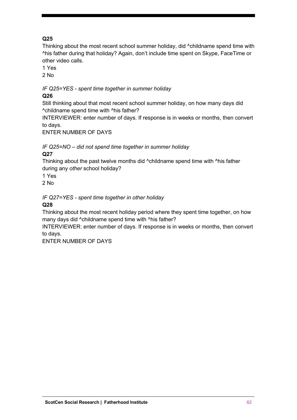## **Q25**

Thinking about the most recent school summer holiday, did ^childname spend time with ^his father during that holiday? Again, don't include time spent on Skype, FaceTime or other video calls.

1 Yes

2 No

*IF Q25=YES - spent time together in summer holiday*

## **Q26**

Still thinking about that most recent school summer holiday, on how many days did ^childname spend time with ^his father?

INTERVIEWER: enter number of days. If response is in weeks or months, then convert to days.

ENTER NUMBER OF DAYS

*IF Q25=NO – did not spend time together in summer holiday* **Q27**

Thinking about the past twelve months did ^childname spend time with ^his father during any *other* school holiday?

1 Yes

2 No

*IF Q27=YES - spent time together in other holiday*

### **Q28**

Thinking about the most recent holiday period where they spent time together, on how many days did ^childname spend time with ^his father?

INTERVIEWER: enter number of days. If response is in weeks or months, then convert to days.

ENTER NUMBER OF DAYS